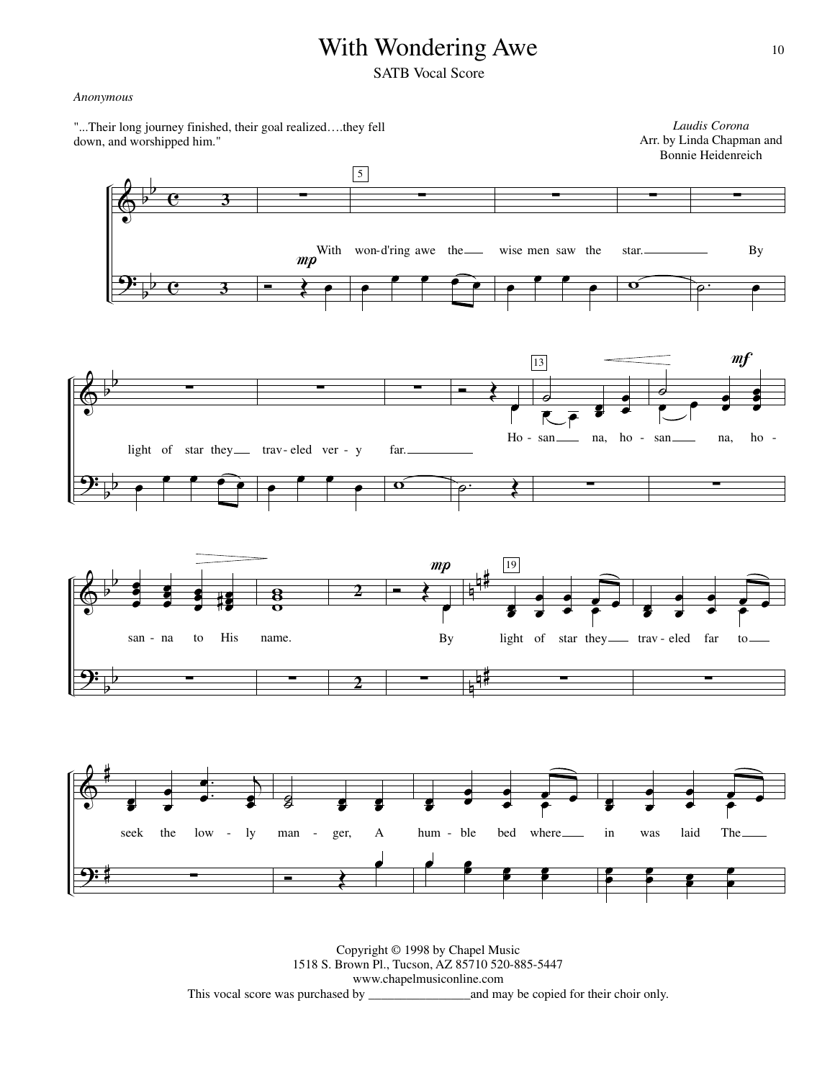## With Wondering Awe

SATB Vocal Score

#### *Anonymous*

 $\pmb{\phi}$ <u>9:</u> b b b b  $\overline{\mathbf{e}}$  $\overline{\mathbf{e}}$ **3** ∑ Ó **<sup>3</sup>** Œ  $mp$ œ With won-d'ring awe the ∑  $\boxed{5}$ œ  $\bullet$   $\bullet$   $\bullet$   $\bullet$ ∑ œ  $\overline{\mathbf{e}}$ œ wise men saw the ∑  $\overline{\mathbf{O}}$ star. ∑  $\overline{\rho}$ . By  $\pmb{\phi}$ <u>9:</u> b  $\frac{1}{2}$ b b ∑ œ  $\bullet$   $\bullet$   $\bullet$   $\bullet$ light of star they trav- eled ver - y ∑ œ œ œ œ ∑  $\overline{\mathbf{o}}$ far.  $\overline{\bullet}$ œ Ho - san\_\_\_\_ na, ho - $\rho$ . 13  $\overline{\bullet}$  $\overline{\overline{\epsilon}$   $\overline{\epsilon}$   $\overline{\epsilon}$ **e** œ ∑  $\frac{1}{\mathcal{O}}$  $\overset{\circ}{\mathsf{P}}$  $m f$ œ œ ě<br>C œ ë<br>L san na, ho-∑  $\pmb{\phi}$ <u>9:</u> b  $\frac{1}{2}$ b b n n # n n # œ œ œ õ<br>Ö œ œ ě<br>C œ œ œ œ œ# san - na to His ∑ ម<br>ខ  $\frac{8}{2}$ name. ∑ Ó **<sup>2</sup>** Œ  $mp$ œ By **2** ∑ 19 œ œ œ œ œ œ e<br>P  $\overline{\cdot}$ light of star they \_\_\_ trav - eled far to ∑ œ œ œ œ œ œ e<br>P  $\frac{1}{\cdot}$ ∑  $\pmb{\phi}$ <u>9:</u> # # œ œ œ œ . œ.  $\cdot$   $\overline{\ }$ œ œ seek the low - ly ∑  $\overline{g}$  $_3^{\square}$ œ œ œ œ man - ger, A  $\overline{\cdot}$ œ œ **e** œ œ œ e<br>P  $\frac{1}{\epsilon}$ hum - ble bed where e<br>e  $\frac{2}{3}$ œ œ œ œ œ œ œ œ œ e<br>P  $\frac{1}{\epsilon}$ in was laid The œ œ œ  $\frac{2}{3}$ œ œ œ *Laudis Corona* Arr. by Linda Chapman and Bonnie Heidenreich "...Their long journey finished, their goal realized….they fell down, and worshipped him."

> Copyright © 1998 by Chapel Music 1518 S. Brown Pl., Tucson, AZ 85710 520-885-5447 www.chapelmusiconline.com This vocal score was purchased by \_\_\_\_\_\_\_\_\_\_\_\_\_\_\_\_and may be copied for their choir only.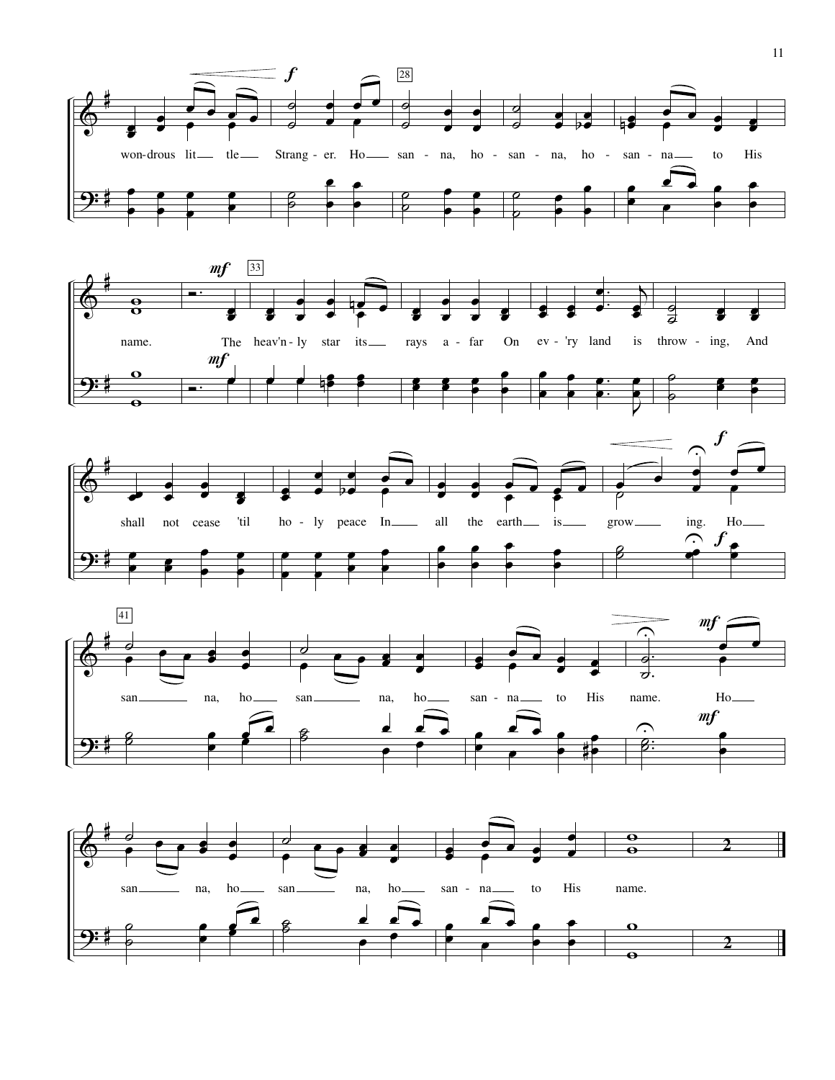







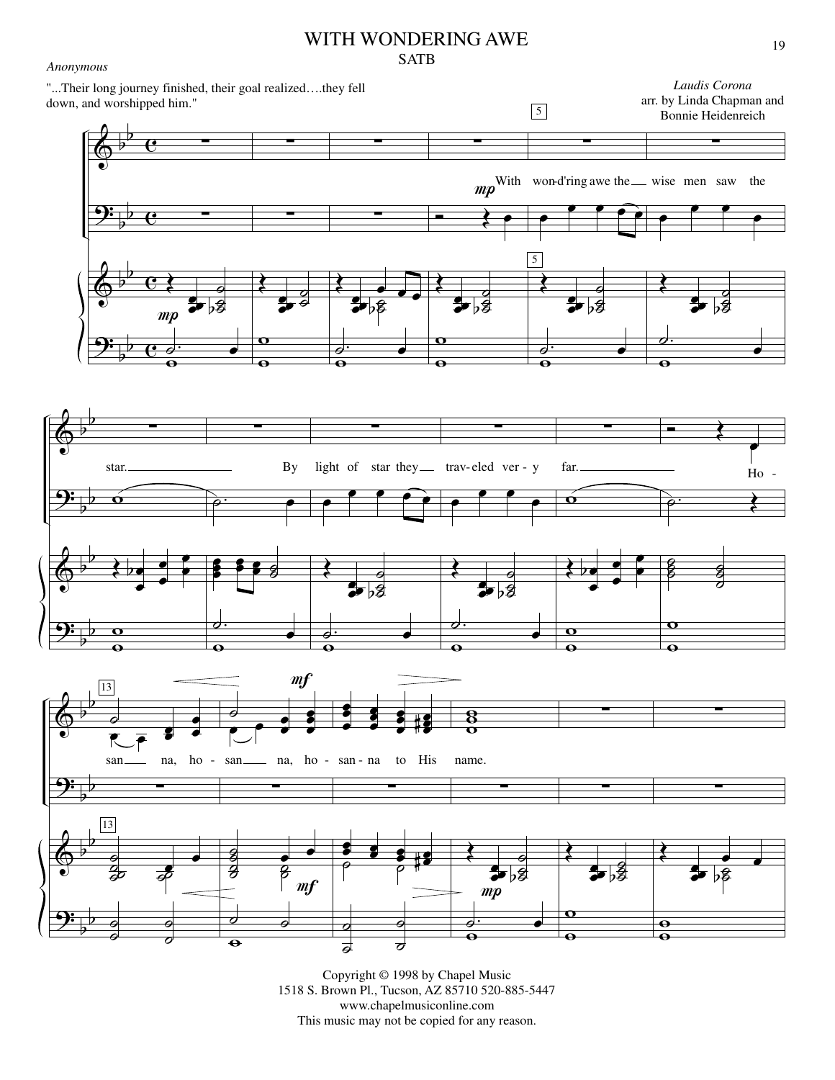# WITH WONDERING AWE

SATB

 $\pmb{\phi}$ 

*Anonymous*

<u>9:</u>

 $\pmb{\phi}$ 

<u>9:</u>

b b

 $\overline{\mathbf{e}}$ 

 $\frac{\partial}{\partial \theta}$ 

 $\circ$   $\bullet$ 

 $\overline{\bullet}$  $\overline{\mathbf{o}}$ 

 $\overline{\mathbf{e}}$ 

 $\theta$   $\theta$ 



 $\overline{\bullet}$  $\overline{\mathbf{o}}$ 

 $\frac{\partial}{\partial \mathbf{\Theta}}$ 

 $\overline{\phantom{a}}$ .

 $\overline{\bullet}$  $\overline{\phantom{a}}$ 



Copyright © 1998 by Chapel Music 1518 S. Brown Pl., Tucson, AZ 85710 520-885-5447 www.chapelmusiconline.com This music may not be copied for any reason.

œ

œ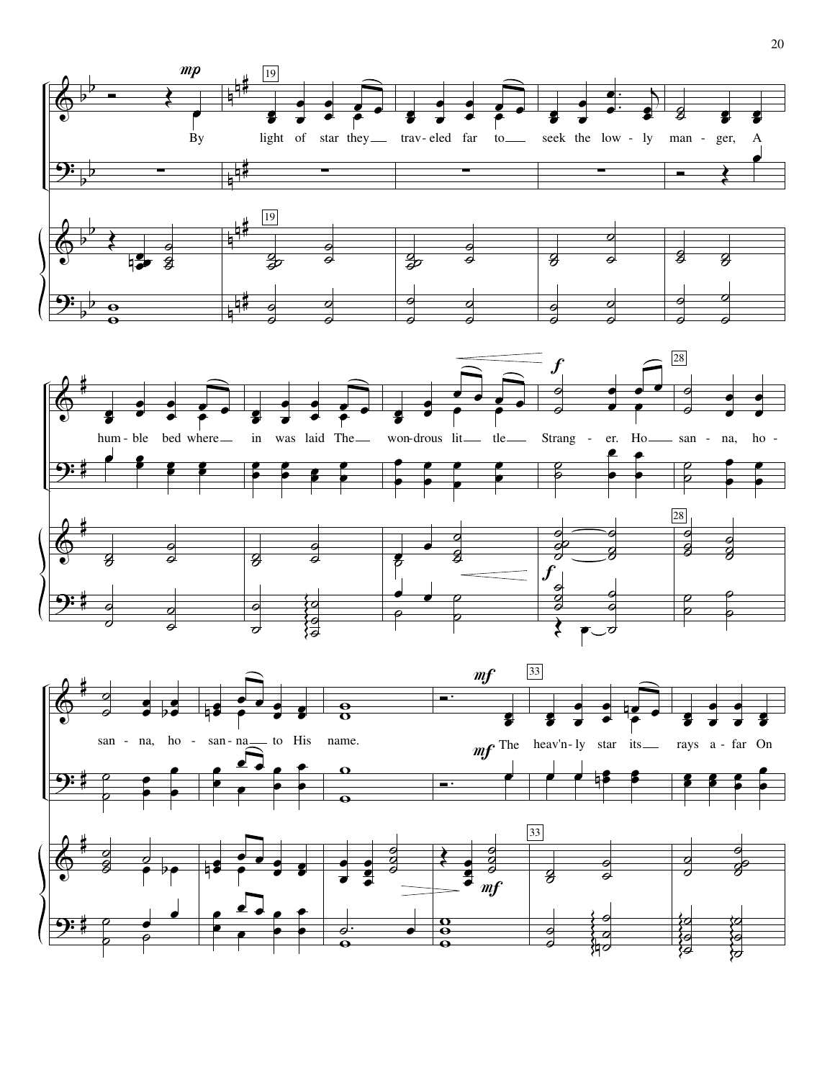



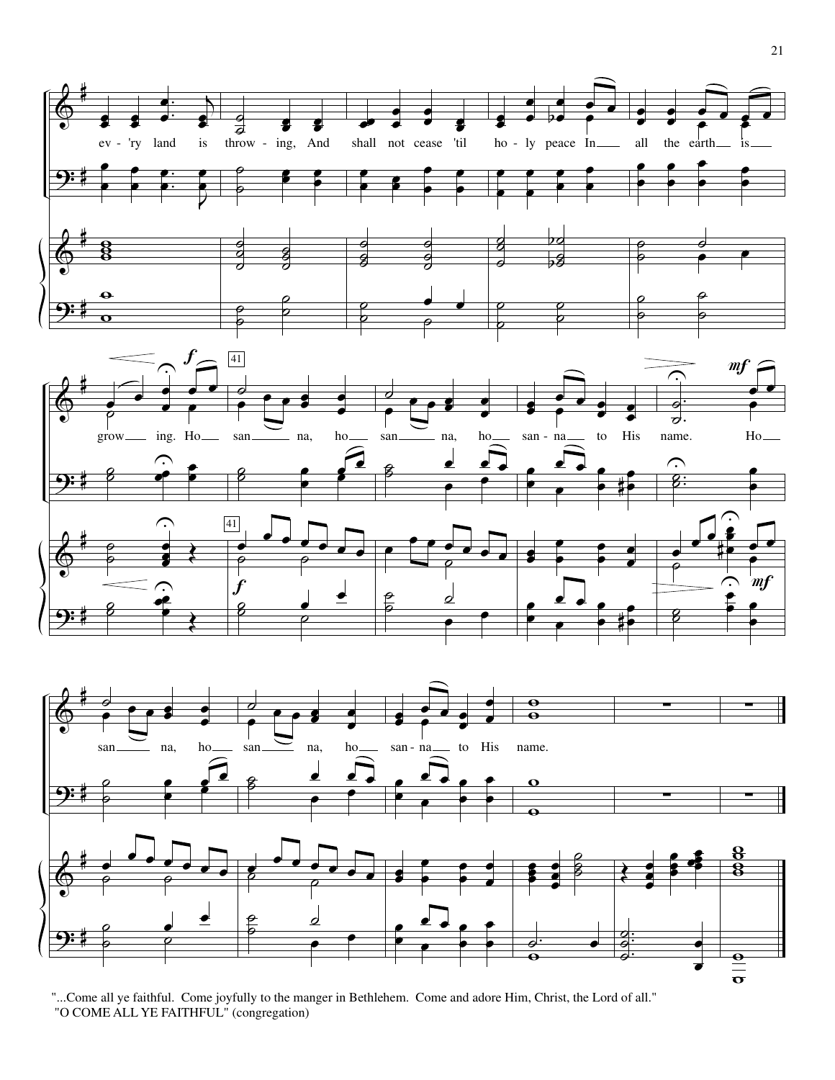





"...Come all ye faithful. Come joyfully to the manger in Bethlehem. Come and adore Him, Christ, the Lord of all."<br>"O COME ALL YE FAITHFUL" (congregation)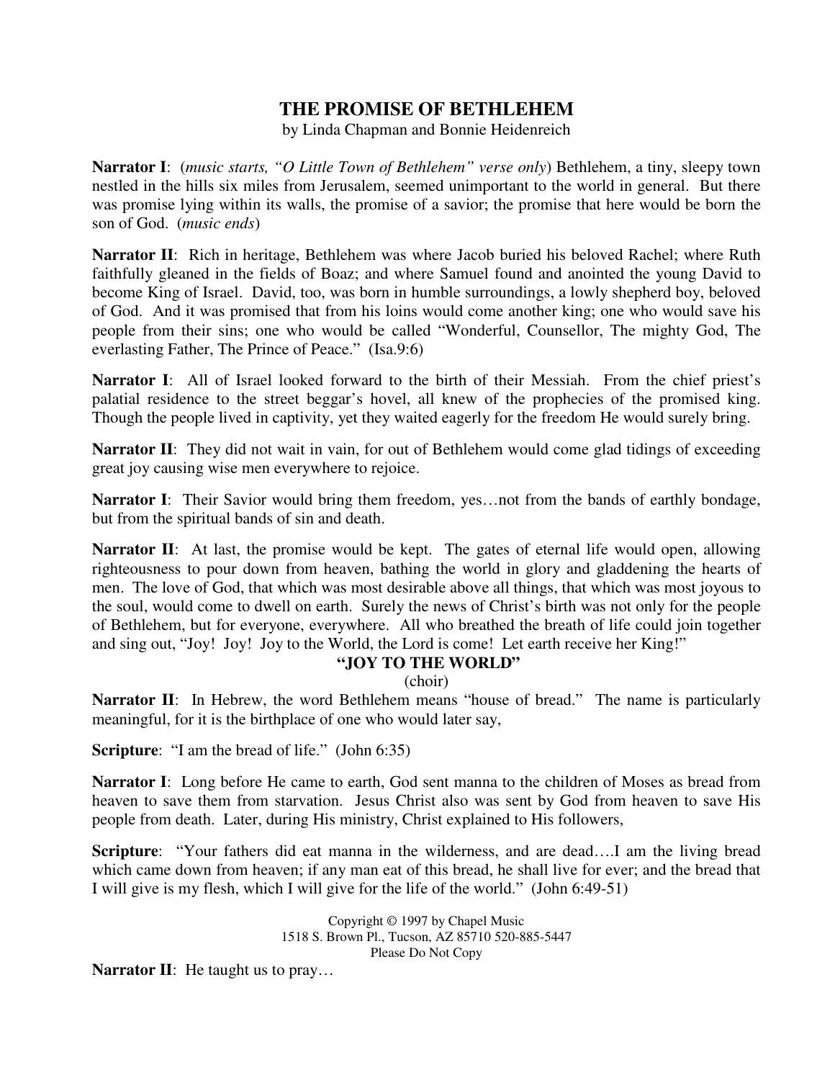## **THE PROMISE OF BETHLEHEM**

by Linda Chapman and Bonnie Heidenreich

**Narrator I**: (*music starts, "O Little Town of Bethlehem" verse only*) Bethlehem, a tiny, sleepy town nestled in the hills six miles from Jerusalem, seemed unimportant to the world in general. But there was promise lying within its walls, the promise of a savior; the promise that here would be born the son of God. (*music ends*)

**Narrator II**: Rich in heritage, Bethlehem was where Jacob buried his beloved Rachel; where Ruth faithfully gleaned in the fields of Boaz; and where Samuel found and anointed the young David to become King of Israel. David, too, was born in humble surroundings, a lowly shepherd boy, beloved of God. And it was promised that from his loins would come another king; one who would save his people from their sins; one who would be called "Wonderful, Counsellor, The mighty God, The everlasting Father, The Prince of Peace." (Isa.9:6)

**Narrator I**: All of Israel looked forward to the birth of their Messiah. From the chief priest's palatial residence to the street beggar's hovel, all knew of the prophecies of the promised king. Though the people lived in captivity, yet they waited eagerly for the freedom He would surely bring.

**Narrator II**: They did not wait in vain, for out of Bethlehem would come glad tidings of exceeding great joy causing wise men everywhere to rejoice.

Narrator I: Their Savior would bring them freedom, yes...not from the bands of earthly bondage, but from the spiritual bands of sin and death.

**Narrator II**: At last, the promise would be kept. The gates of eternal life would open, allowing righteousness to pour down from heaven, bathing the world in glory and gladdening the hearts of men. The love of God, that which was most desirable above all things, that which was most joyous to the soul, would come to dwell on earth. Surely the news of Christ's birth was not only for the people of Bethlehem, but for everyone, everywhere. All who breathed the breath of life could join together and sing out, "Joy! Joy! Joy to the World, the Lord is come! Let earth receive her King!"

### **"JOY TO THE WORLD"**

(choir)

Narrator II: In Hebrew, the word Bethlehem means "house of bread." The name is particularly meaningful, for it is the birthplace of one who would later say,

**Scripture**: "I am the bread of life." (John 6:35)

**Narrator I**: Long before He came to earth, God sent manna to the children of Moses as bread from heaven to save them from starvation. Jesus Christ also was sent by God from heaven to save His people from death. Later, during His ministry, Christ explained to His followers,

**Scripture**: "Your fathers did eat manna in the wilderness, and are dead….I am the living bread which came down from heaven; if any man eat of this bread, he shall live for ever; and the bread that I will give is my flesh, which I will give for the life of the world." (John 6:49-51)

> Copyright © 1997 by Chapel Music 1518 S. Brown Pl., Tucson, AZ 85710 520-885-5447 Please Do Not Copy

**Narrator II:** He taught us to pray...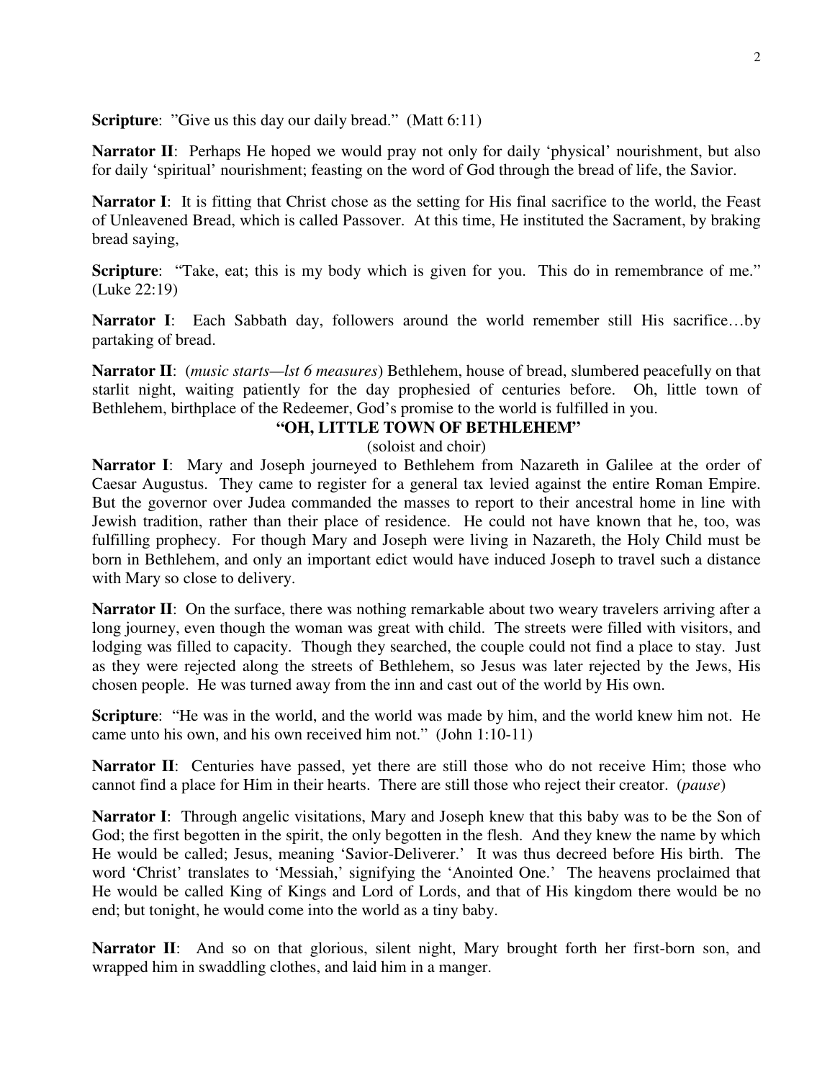**Scripture:** "Give us this day our daily bread." (Matt 6:11)

**Narrator II:** Perhaps He hoped we would pray not only for daily 'physical' nourishment, but also for daily 'spiritual' nourishment; feasting on the word of God through the bread of life, the Savior.

**Narrator I:** It is fitting that Christ chose as the setting for His final sacrifice to the world, the Feast of Unleavened Bread, which is called Passover. At this time, He instituted the Sacrament, by braking bread saying,

**Scripture**: "Take, eat; this is my body which is given for you. This do in remembrance of me." (Luke 22:19)

**Narrator I**: Each Sabbath day, followers around the world remember still His sacrifice…by partaking of bread.

**Narrator II**: (*music starts—lst 6 measures*) Bethlehem, house of bread, slumbered peacefully on that starlit night, waiting patiently for the day prophesied of centuries before. Oh, little town of Bethlehem, birthplace of the Redeemer, God's promise to the world is fulfilled in you.

### **"OH, LITTLE TOWN OF BETHLEHEM"**

#### (soloist and choir)

**Narrator I**: Mary and Joseph journeyed to Bethlehem from Nazareth in Galilee at the order of Caesar Augustus. They came to register for a general tax levied against the entire Roman Empire. But the governor over Judea commanded the masses to report to their ancestral home in line with Jewish tradition, rather than their place of residence. He could not have known that he, too, was fulfilling prophecy. For though Mary and Joseph were living in Nazareth, the Holy Child must be born in Bethlehem, and only an important edict would have induced Joseph to travel such a distance with Mary so close to delivery.

**Narrator II**: On the surface, there was nothing remarkable about two weary travelers arriving after a long journey, even though the woman was great with child. The streets were filled with visitors, and lodging was filled to capacity. Though they searched, the couple could not find a place to stay. Just as they were rejected along the streets of Bethlehem, so Jesus was later rejected by the Jews, His chosen people. He was turned away from the inn and cast out of the world by His own.

**Scripture**: "He was in the world, and the world was made by him, and the world knew him not. He came unto his own, and his own received him not." (John 1:10-11)

**Narrator II:** Centuries have passed, yet there are still those who do not receive Him; those who cannot find a place for Him in their hearts. There are still those who reject their creator. (*pause*)

**Narrator I**: Through angelic visitations, Mary and Joseph knew that this baby was to be the Son of God; the first begotten in the spirit, the only begotten in the flesh. And they knew the name by which He would be called; Jesus, meaning 'Savior-Deliverer.' It was thus decreed before His birth. The word 'Christ' translates to 'Messiah,' signifying the 'Anointed One.' The heavens proclaimed that He would be called King of Kings and Lord of Lords, and that of His kingdom there would be no end; but tonight, he would come into the world as a tiny baby.

Narrator II: And so on that glorious, silent night, Mary brought forth her first-born son, and wrapped him in swaddling clothes, and laid him in a manger.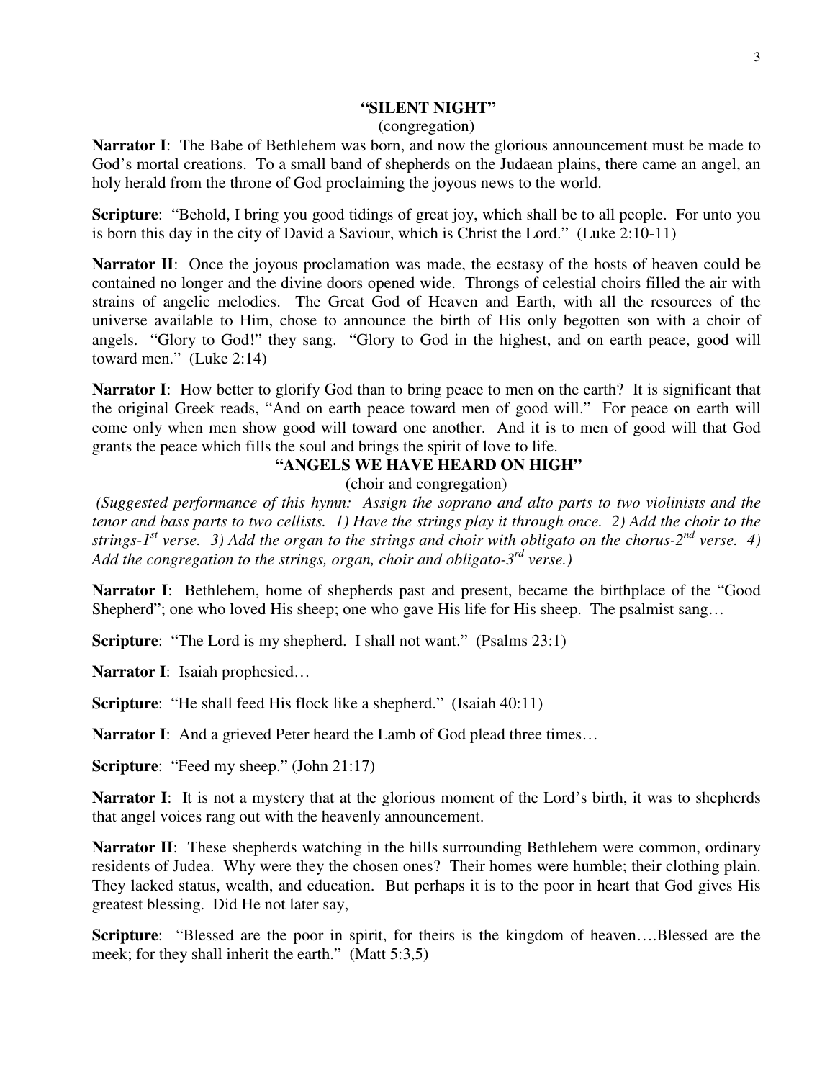#### 3

#### **"SILENT NIGHT"**

#### (congregation)

**Narrator I**: The Babe of Bethlehem was born, and now the glorious announcement must be made to God's mortal creations. To a small band of shepherds on the Judaean plains, there came an angel, an holy herald from the throne of God proclaiming the joyous news to the world.

**Scripture**: "Behold, I bring you good tidings of great joy, which shall be to all people. For unto you is born this day in the city of David a Saviour, which is Christ the Lord." (Luke 2:10-11)

**Narrator II**: Once the joyous proclamation was made, the ecstasy of the hosts of heaven could be contained no longer and the divine doors opened wide. Throngs of celestial choirs filled the air with strains of angelic melodies. The Great God of Heaven and Earth, with all the resources of the universe available to Him, chose to announce the birth of His only begotten son with a choir of angels. "Glory to God!" they sang. "Glory to God in the highest, and on earth peace, good will toward men." (Luke 2:14)

**Narrator I**: How better to glorify God than to bring peace to men on the earth? It is significant that the original Greek reads, "And on earth peace toward men of good will." For peace on earth will come only when men show good will toward one another. And it is to men of good will that God grants the peace which fills the soul and brings the spirit of love to life.

#### **"ANGELS WE HAVE HEARD ON HIGH"**

(choir and congregation)

 *(Suggested performance of this hymn: Assign the soprano and alto parts to two violinists and the tenor and bass parts to two cellists. 1) Have the strings play it through once. 2) Add the choir to the strings-1st verse. 3) Add the organ to the strings and choir with obligato on the chorus-2nd verse. 4) Add the congregation to the strings, organ, choir and obligato-3rd verse.)* 

**Narrator I**: Bethlehem, home of shepherds past and present, became the birthplace of the "Good Shepherd"; one who loved His sheep; one who gave His life for His sheep. The psalmist sang…

**Scripture**: "The Lord is my shepherd. I shall not want." (Psalms 23:1)

**Narrator I**: Isaiah prophesied…

**Scripture:** "He shall feed His flock like a shepherd." (Isaiah 40:11)

**Narrator I**: And a grieved Peter heard the Lamb of God plead three times...

**Scripture:** "Feed my sheep." (John 21:17)

**Narrator I**: It is not a mystery that at the glorious moment of the Lord's birth, it was to shepherds that angel voices rang out with the heavenly announcement.

**Narrator II**: These shepherds watching in the hills surrounding Bethlehem were common, ordinary residents of Judea. Why were they the chosen ones? Their homes were humble; their clothing plain. They lacked status, wealth, and education. But perhaps it is to the poor in heart that God gives His greatest blessing. Did He not later say,

**Scripture**: "Blessed are the poor in spirit, for theirs is the kingdom of heaven….Blessed are the meek; for they shall inherit the earth." (Matt 5:3,5)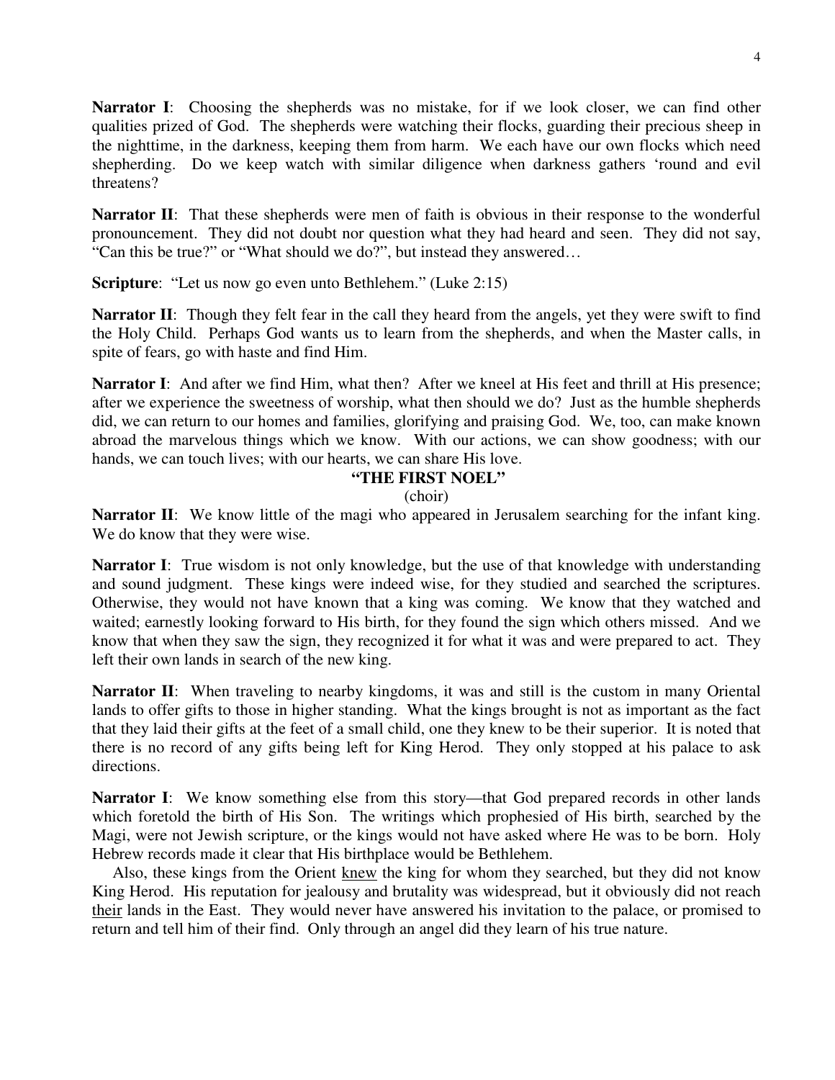**Narrator I**: Choosing the shepherds was no mistake, for if we look closer, we can find other qualities prized of God. The shepherds were watching their flocks, guarding their precious sheep in the nighttime, in the darkness, keeping them from harm. We each have our own flocks which need shepherding. Do we keep watch with similar diligence when darkness gathers 'round and evil threatens?

**Narrator II**: That these shepherds were men of faith is obvious in their response to the wonderful pronouncement. They did not doubt nor question what they had heard and seen. They did not say, "Can this be true?" or "What should we do?", but instead they answered…

**Scripture**: "Let us now go even unto Bethlehem." (Luke 2:15)

**Narrator II**: Though they felt fear in the call they heard from the angels, yet they were swift to find the Holy Child. Perhaps God wants us to learn from the shepherds, and when the Master calls, in spite of fears, go with haste and find Him.

**Narrator I**: And after we find Him, what then? After we kneel at His feet and thrill at His presence; after we experience the sweetness of worship, what then should we do? Just as the humble shepherds did, we can return to our homes and families, glorifying and praising God. We, too, can make known abroad the marvelous things which we know. With our actions, we can show goodness; with our hands, we can touch lives; with our hearts, we can share His love.

#### **"THE FIRST NOEL"**

#### (choir)

**Narrator II:** We know little of the magi who appeared in Jerusalem searching for the infant king. We do know that they were wise.

**Narrator I**: True wisdom is not only knowledge, but the use of that knowledge with understanding and sound judgment. These kings were indeed wise, for they studied and searched the scriptures. Otherwise, they would not have known that a king was coming. We know that they watched and waited; earnestly looking forward to His birth, for they found the sign which others missed. And we know that when they saw the sign, they recognized it for what it was and were prepared to act. They left their own lands in search of the new king.

**Narrator II**: When traveling to nearby kingdoms, it was and still is the custom in many Oriental lands to offer gifts to those in higher standing. What the kings brought is not as important as the fact that they laid their gifts at the feet of a small child, one they knew to be their superior. It is noted that there is no record of any gifts being left for King Herod. They only stopped at his palace to ask directions.

**Narrator I**: We know something else from this story—that God prepared records in other lands which foretold the birth of His Son. The writings which prophesied of His birth, searched by the Magi, were not Jewish scripture, or the kings would not have asked where He was to be born. Holy Hebrew records made it clear that His birthplace would be Bethlehem.

 Also, these kings from the Orient knew the king for whom they searched, but they did not know King Herod. His reputation for jealousy and brutality was widespread, but it obviously did not reach their lands in the East. They would never have answered his invitation to the palace, or promised to return and tell him of their find. Only through an angel did they learn of his true nature.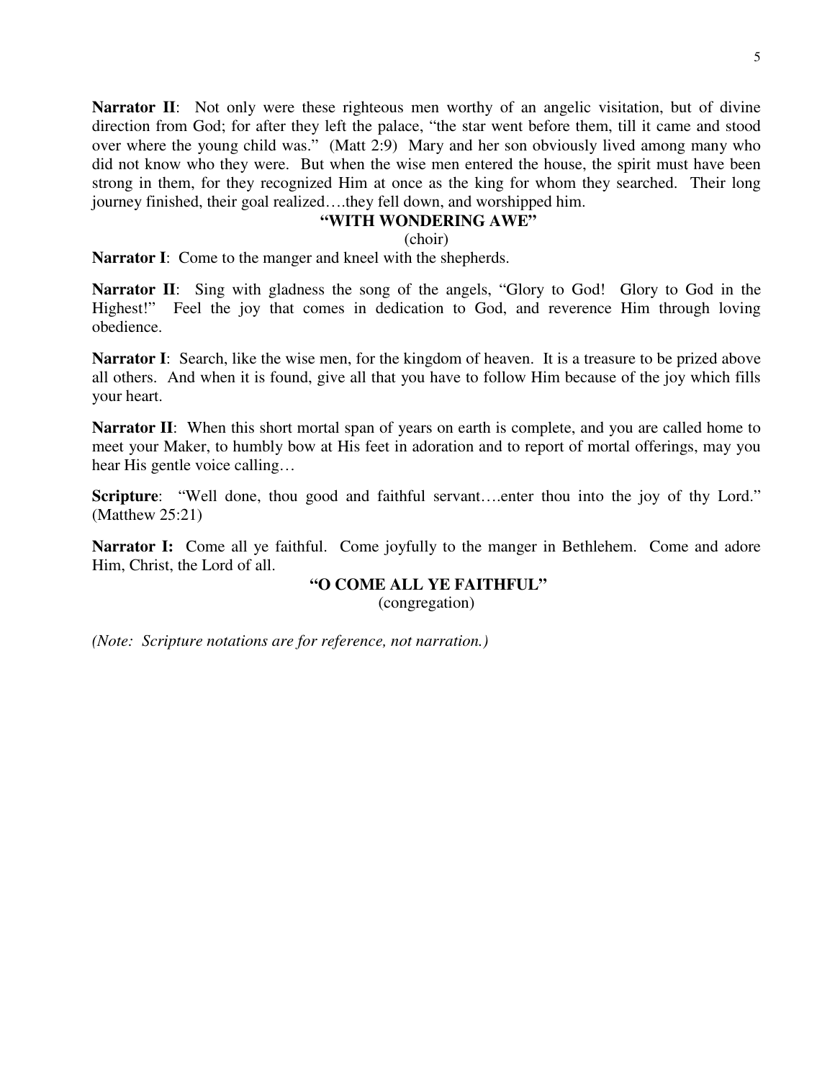5

**Narrator II:** Not only were these righteous men worthy of an angelic visitation, but of divine direction from God; for after they left the palace, "the star went before them, till it came and stood over where the young child was." (Matt 2:9) Mary and her son obviously lived among many who did not know who they were. But when the wise men entered the house, the spirit must have been strong in them, for they recognized Him at once as the king for whom they searched. Their long journey finished, their goal realized….they fell down, and worshipped him.

### **"WITH WONDERING AWE"**

(choir)

**Narrator I**: Come to the manger and kneel with the shepherds.

**Narrator II:** Sing with gladness the song of the angels, "Glory to God! Glory to God in the Highest!" Feel the joy that comes in dedication to God, and reverence Him through loving obedience.

**Narrator I**: Search, like the wise men, for the kingdom of heaven. It is a treasure to be prized above all others. And when it is found, give all that you have to follow Him because of the joy which fills your heart.

**Narrator II:** When this short mortal span of years on earth is complete, and you are called home to meet your Maker, to humbly bow at His feet in adoration and to report of mortal offerings, may you hear His gentle voice calling…

**Scripture:** "Well done, thou good and faithful servant....enter thou into the joy of thy Lord." (Matthew 25:21)

**Narrator I:** Come all ye faithful. Come joyfully to the manger in Bethlehem. Come and adore Him, Christ, the Lord of all.

### **"O COME ALL YE FAITHFUL"**

(congregation)

*(Note: Scripture notations are for reference, not narration.)*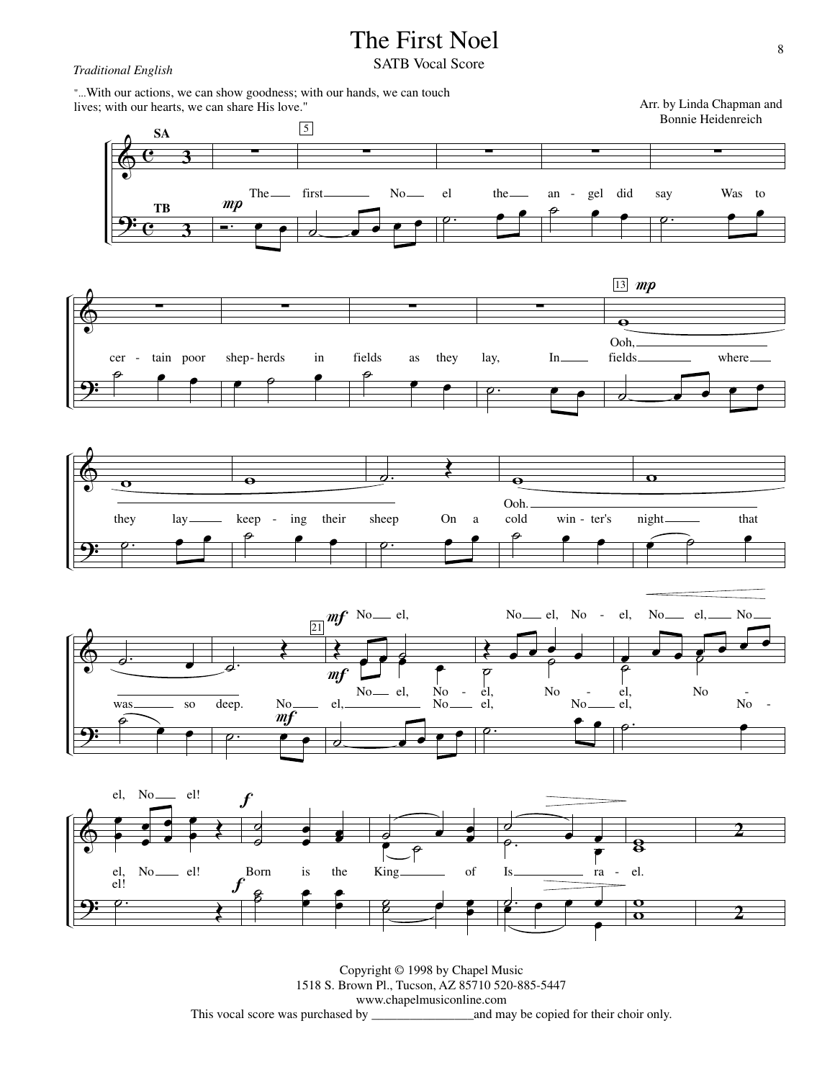# The First Noel

## **Traditional English SATB Vocal Score**

"...With our actions, we can show goodness; with our hands, we can touch lives; with our hearts, we can share His love."

 $\pmb{\phi}$ 9:  $\overline{\mathbf{e}}$  $\overline{\mathbf{e}}$ **3 3 SA** ∑ **TB** Ó.  $mp$  $\overline{\mathbf{e}}$ The ∑ 5  $\overline{\phantom{a}}$ first No ∑  $\overline{\rho}$  .  $\overline{\mathbf{e}}$ el the ∑  $\theta$ an - gel did ∑  $\overline{\rho}$  .  $\overline{\phantom{a}}$ say Was to  $\pmb{\phi}$ <u>9:</u> ∑  $\theta$  e e e cer - tain poor ∑  $\qquad \qquad \bullet$ shep- herds in ∑ fields as they  $\theta$  $\overline{\mathbf{e}}$ ∑  $\circ$  .  $\bullet$  . lay, In  $\boxed{13}$  mp  $\ddot{\mathbf{e}}$ Ooh,  $\overline{\phantom{a}}$ fields where  $\pmb{\phi}$ <u>9:</u>  $\overline{\mathbf{o}}$ ˙.  $\stackrel{\cdot}{\longrightarrow}$ they lay  $\mathbf \Theta$ ˙ œ œ keep - ing their  $\frac{1}{2}$ .  $\overline{\blacklozenge}$ ˙.  $\overline{\mathbf{e}}$ sheep On a  $\bullet$ Ooh.  $\theta$ cold win - ter's  $\overline{\mathbf{o}}$  $\begin{array}{ccc} \begin{array}{ccc} \circ & \bullet & \bullet \end{array} \end{array}$ night that  $\pmb{\phi}$ 9: ˙. œ  $\overbrace{\mathcal{P}}^{\text{was}}$  so  $\epsilon$ ˙. Œ ˙.  $\frac{\text{No}}{m}$  $\overset{\circ}{\bullet}$   $\overset{\circ}{\bullet}$ deep. 21 Œ  $m f$  No<sub>—</sub> el,  $m f$  $e$   $e$   $e$  $\overline{\phantom{a}}$ œ No<sub>-</sub> el,  $N<sub>0</sub>$  - $\overline{\phantom{a}}$  $el$ ,  $N<sub>0</sub>$  No. Œ  $\overline{\rho}$  $\overline{\mathcal{C}}$  $\frac{\bullet}{\rho}$ œ  $\det$ <sub>el</sub>, No el, No -No -  $\overline{\rho}$  .  $\overset{\circ}{\blacksquare}$ No.  $\frac{1}{\beta}$ **p**  $\overline{\mathcal{C}}$ el, el, No<sub>-cl</sub> el No. No  $\circ$   $\qquad \bullet$ No - $\pmb{\phi}$ <u>9:</u> œ œ œ œ œ —<br>—<br> œ Œ el, No el, No<sub>—</sub> el! el! ˙. Œ el! f  $\frac{1}{2}$  $\frac{1}{2}$ œ œ œ œ Born is the  $\frac{f}{\pm 2}$  $\beta$ œ œ œ œ  $\frac{1}{2}$ œ ˙ œ œ œ King of  $\overline{e}$  $\frac{1}{2}$  e  $\frac{1}{2}$ œ  $\frac{1}{2}$ . ˙ e<br>C  $\cdot$   $\cdot$ Is ra œ  $\frac{1}{2}$  e  $\frac{1}{2}$ œ  $\frac{1}{8}$ el.  $\overline{\mathbf{o}}$ **2**

> Copyright © 1998 by Chapel Music 1518 S. Brown Pl., Tucson, AZ 85710 520-885-5447 www.chapelmusiconline.com This vocal score was purchased by \_\_\_\_\_\_\_\_\_\_\_\_\_\_\_\_and may be copied for their choir only.

œ

 $\overline{\mathbf{o}}$ 

**2**

Arr. by Linda Chapman and Bonnie Heidenreich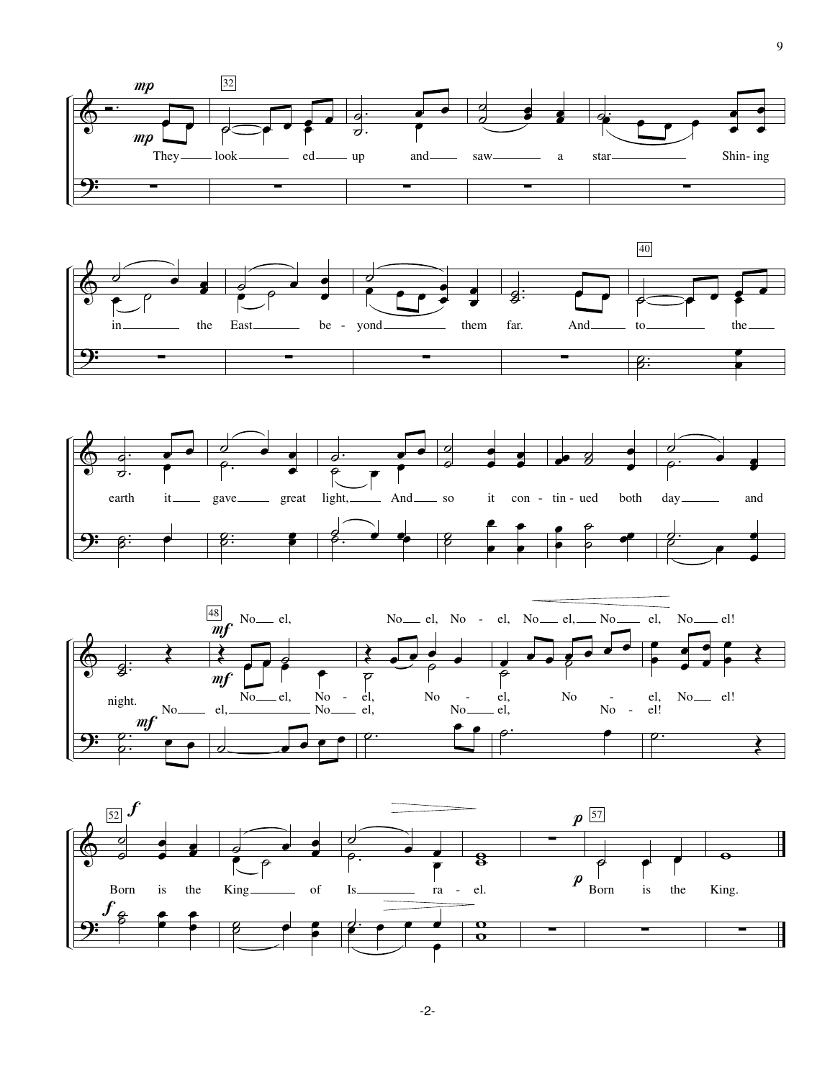







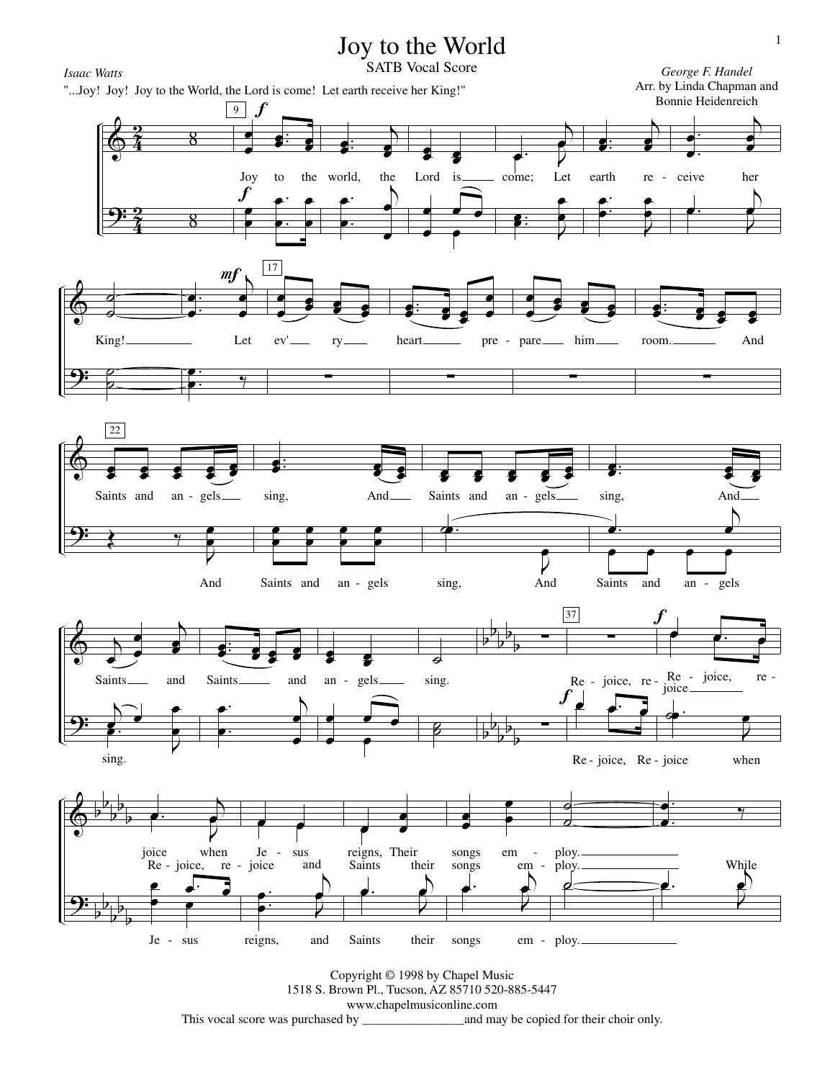

This vocal score was purchased by \_\_\_\_\_\_\_\_\_\_\_\_\_\_\_\_and may be copied for their choir only.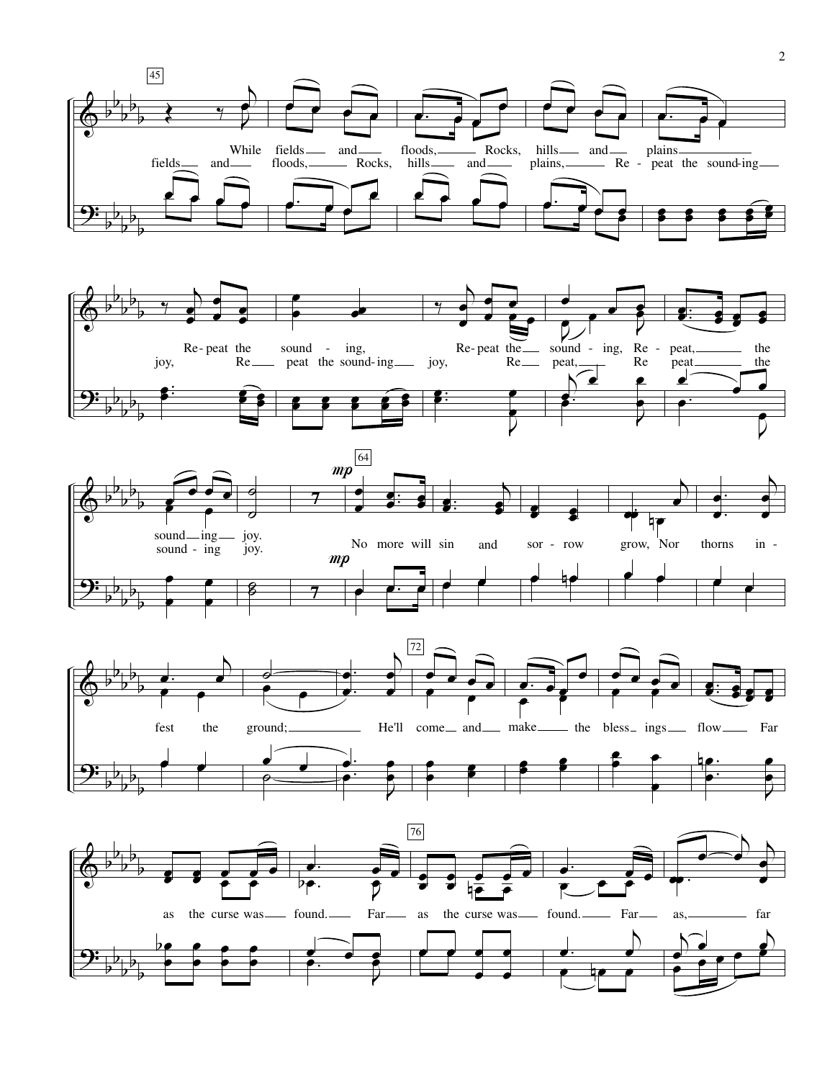







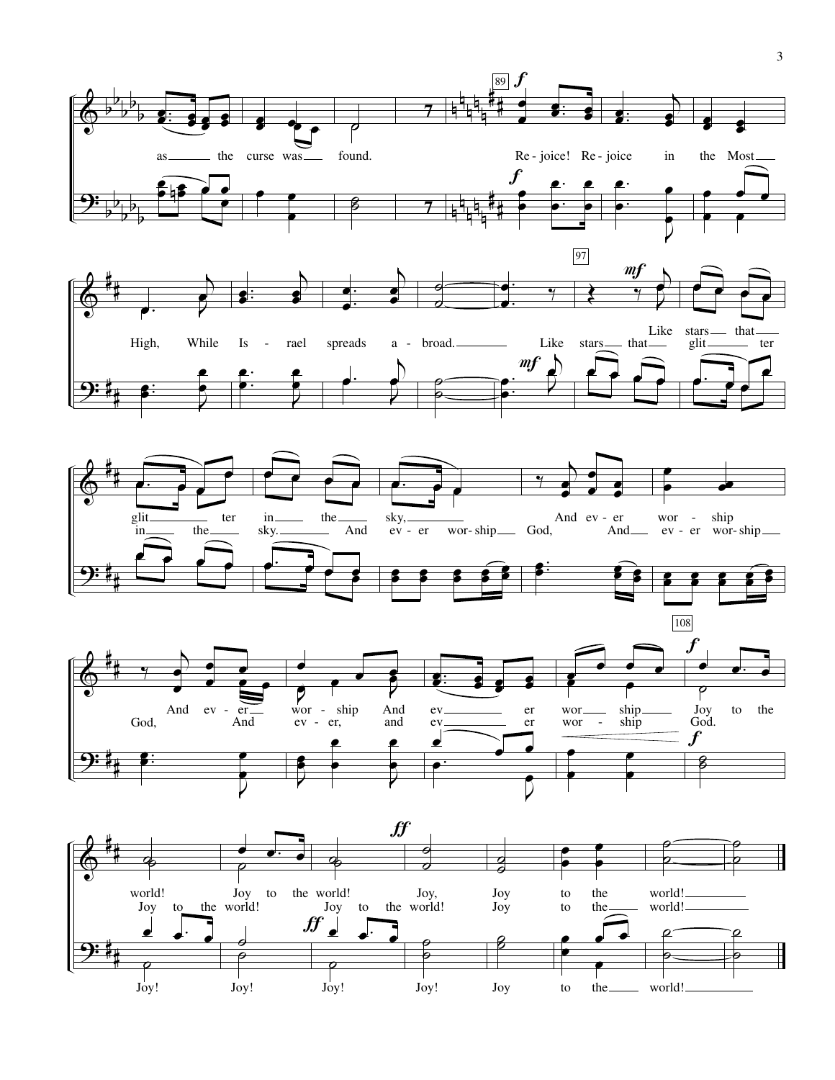

 $\overline{3}$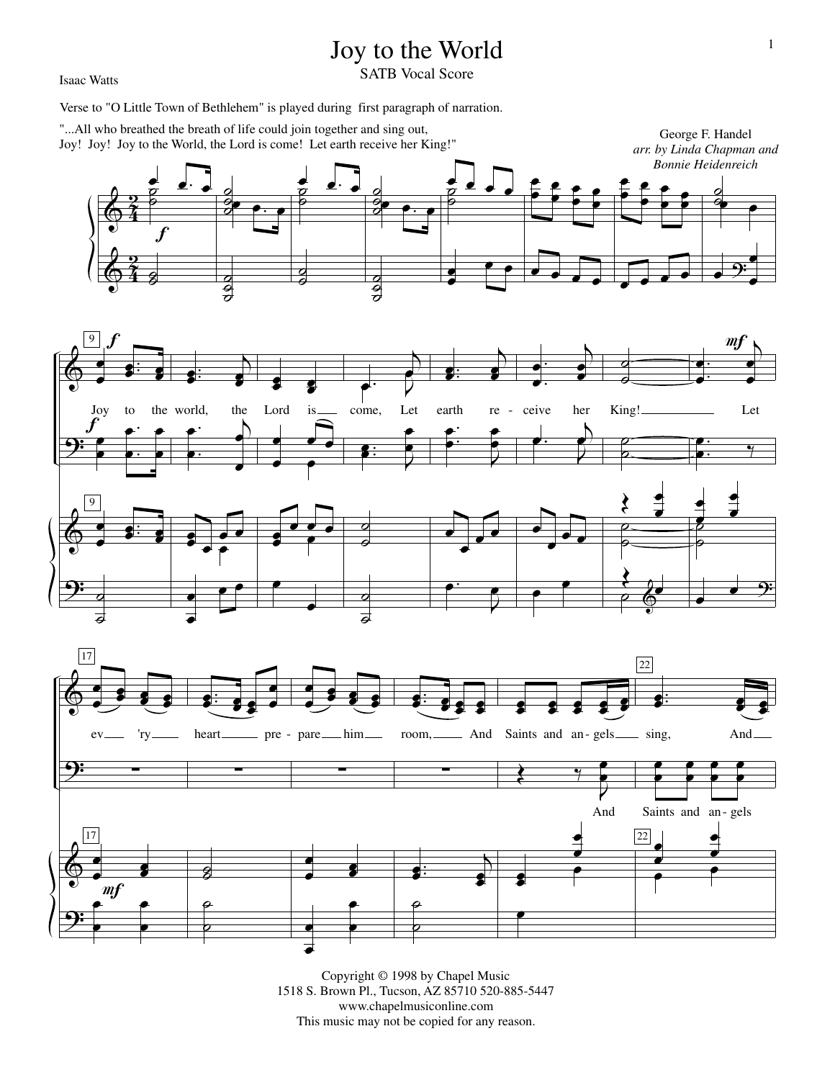## Joy to the World

Isaac Watts

SATB Vocal Score

Verse to "O Little Town of Bethlehem" is played during first paragraph of narration.





Copyright © 1998 by Chapel Music 1518 S. Brown Pl., Tucson, AZ 85710 520-885-5447 www.chapelmusiconline.com This music may not be copied for any reason.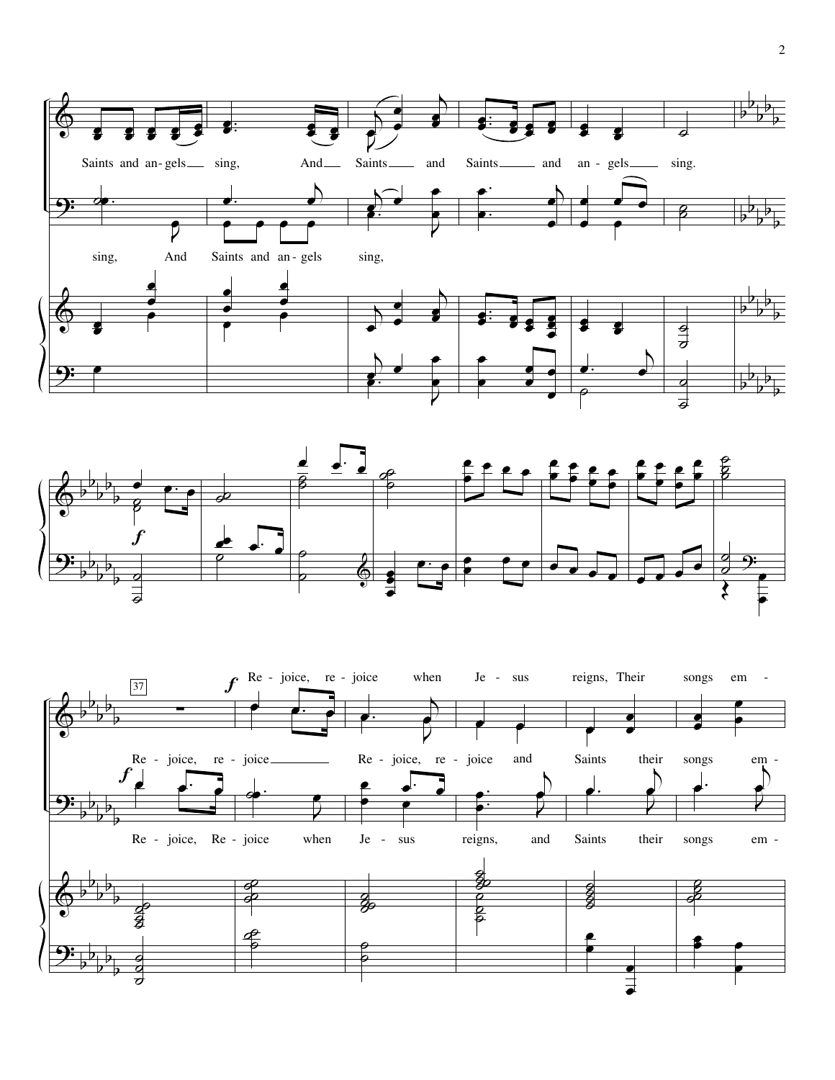



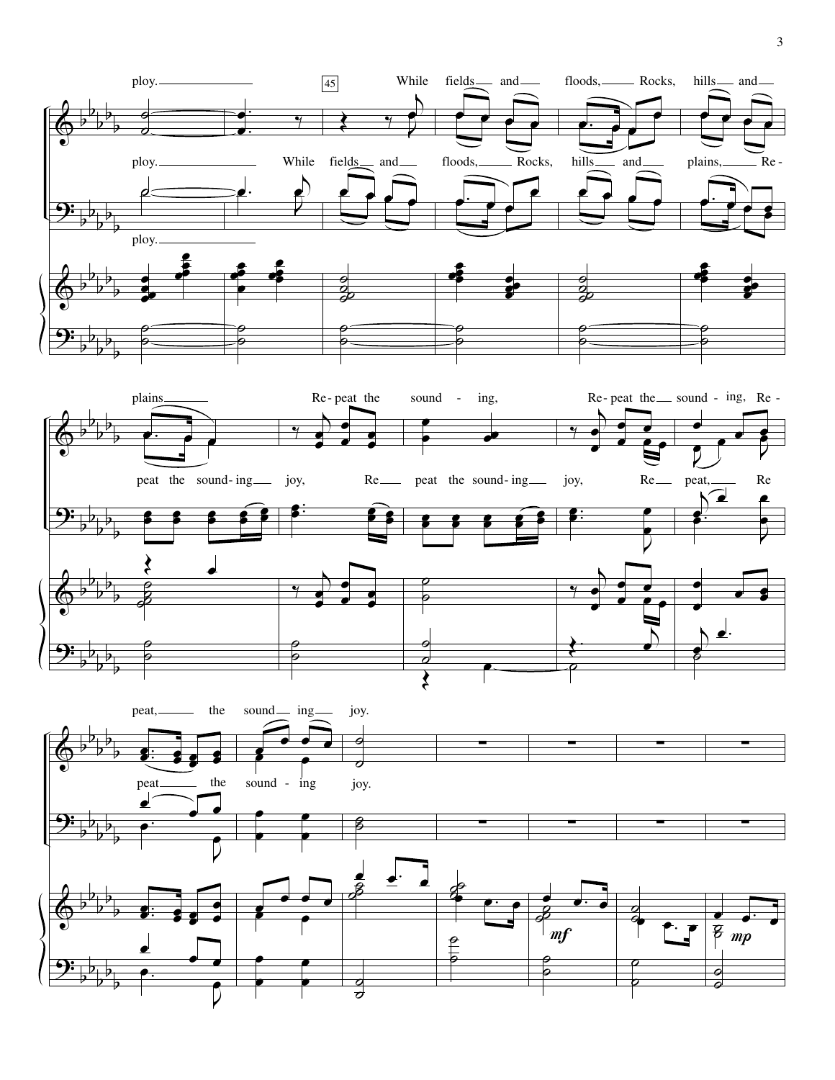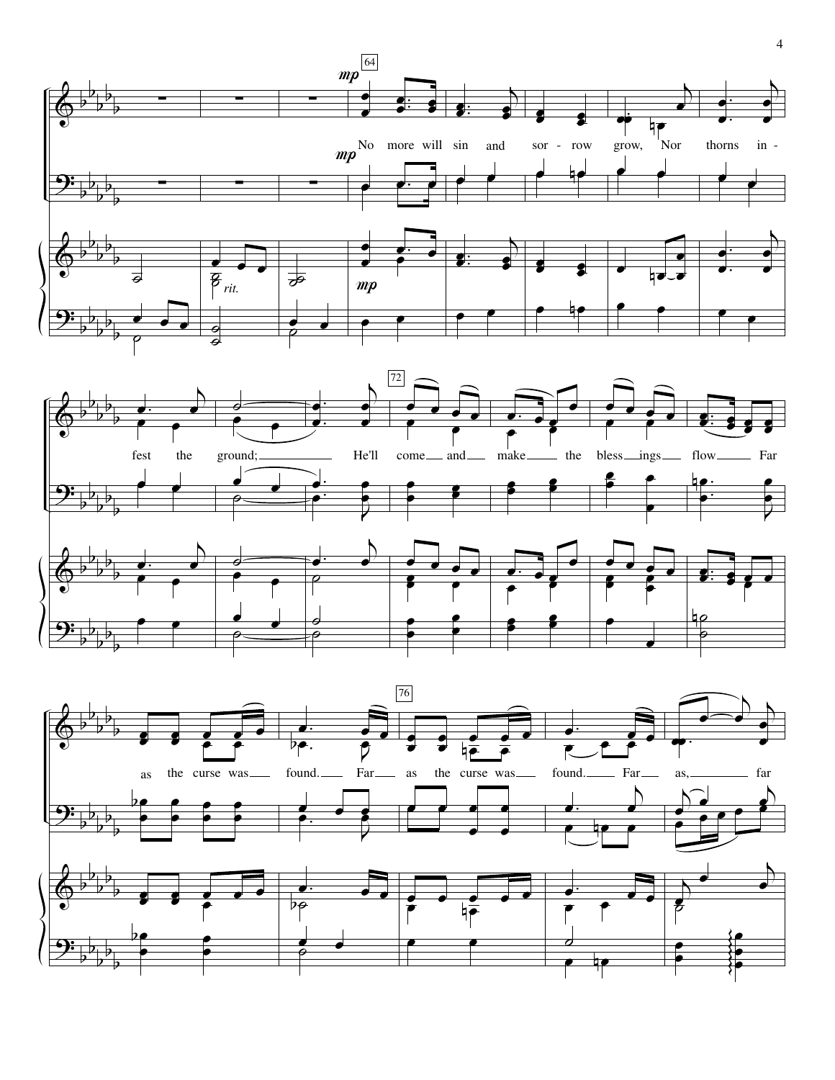

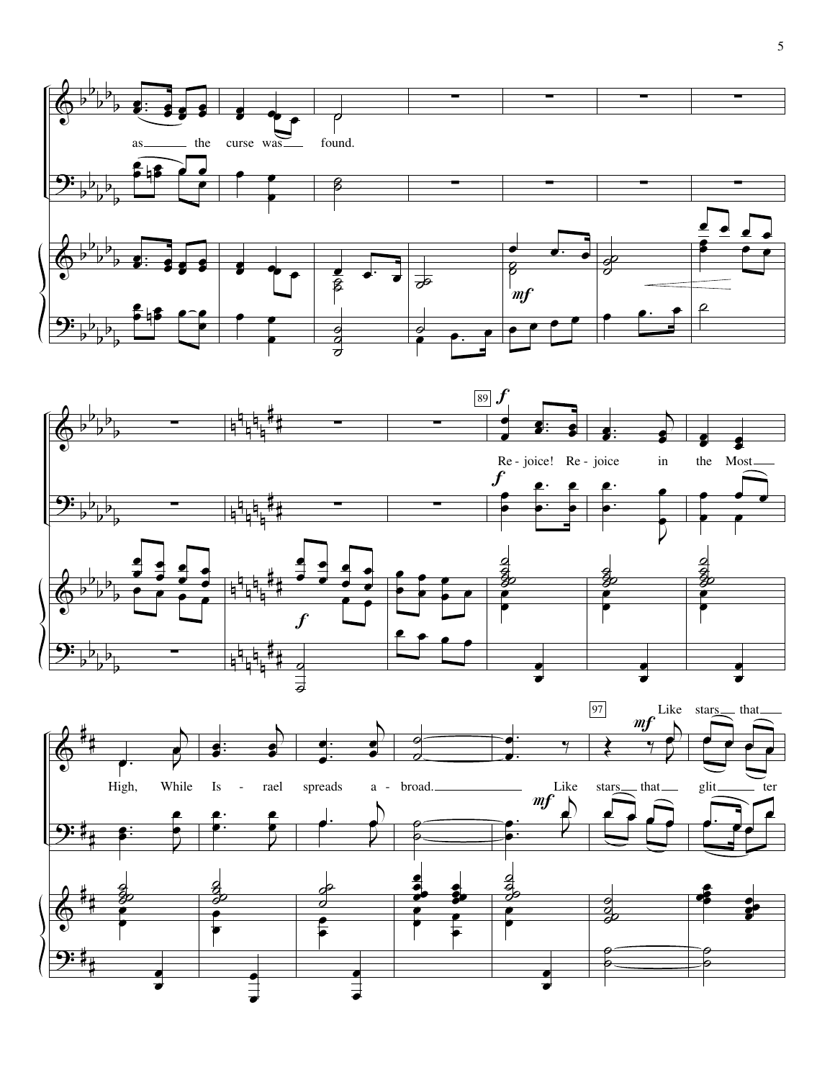



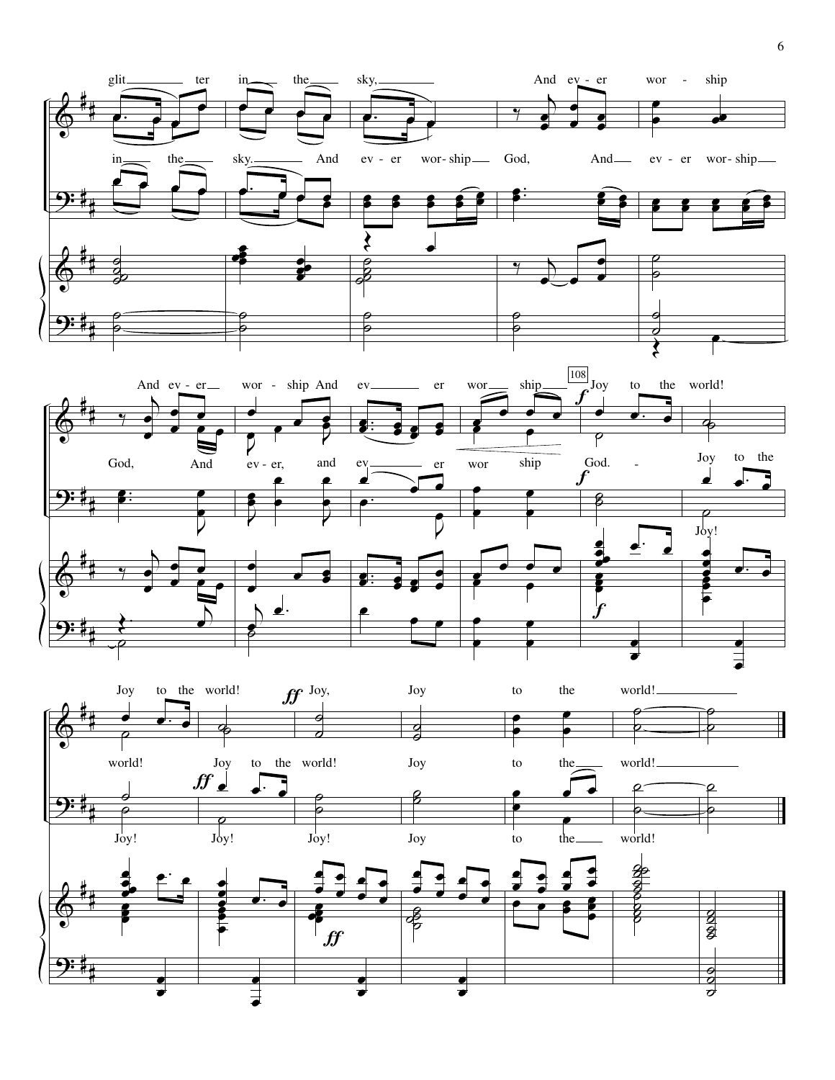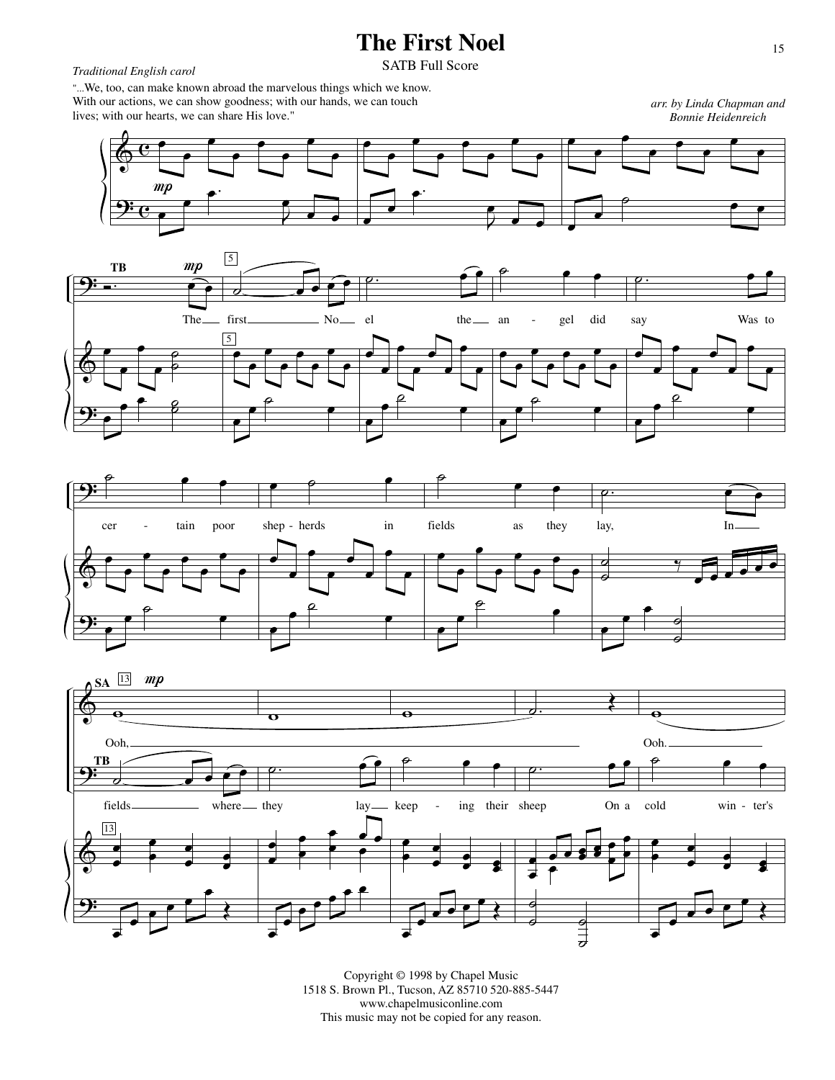## **The First Noel**

## *Traditional English carol* SATB Full Score

"...We, too, can make known abroad the marvelous things which we know. With our actions, we can show goodness; with our hands, we can touch lives; with our hearts, we can share His love."

*arr. by Linda Chapman and Bonnie Heidenreich*









Copyright © 1998 by Chapel Music 1518 S. Brown Pl., Tucson, AZ 85710 520-885-5447 www.chapelmusiconline.com This music may not be copied for any reason.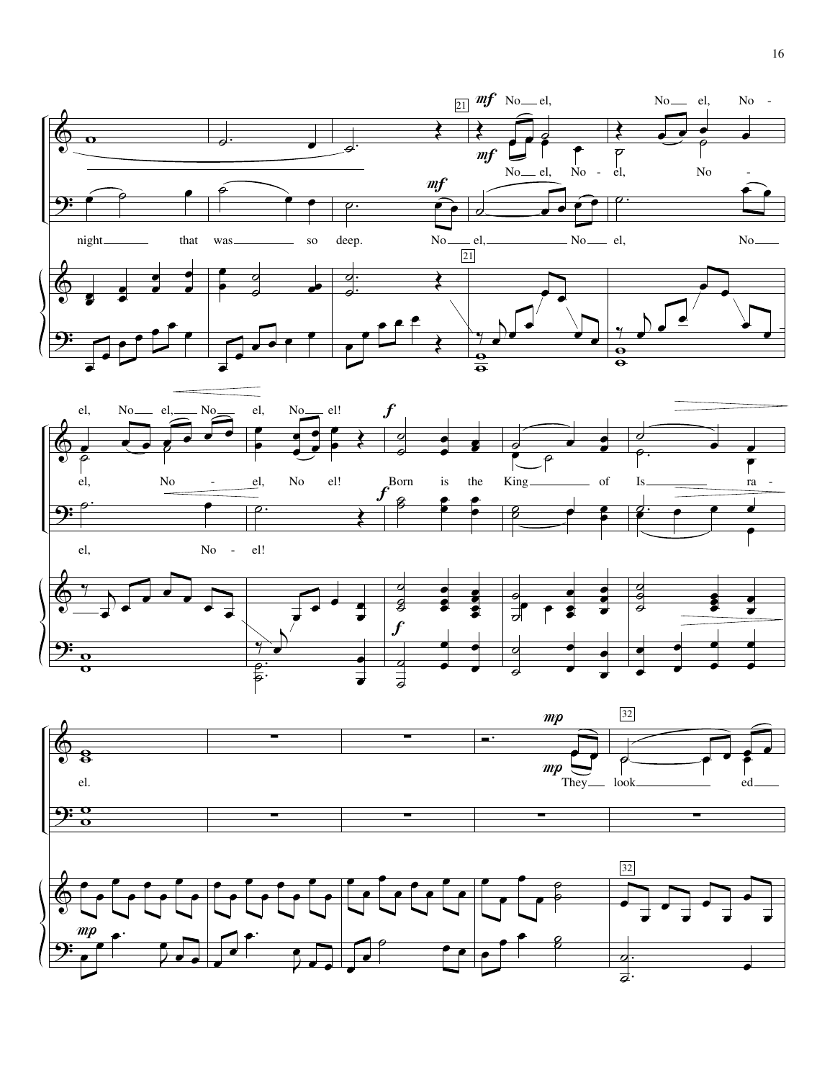





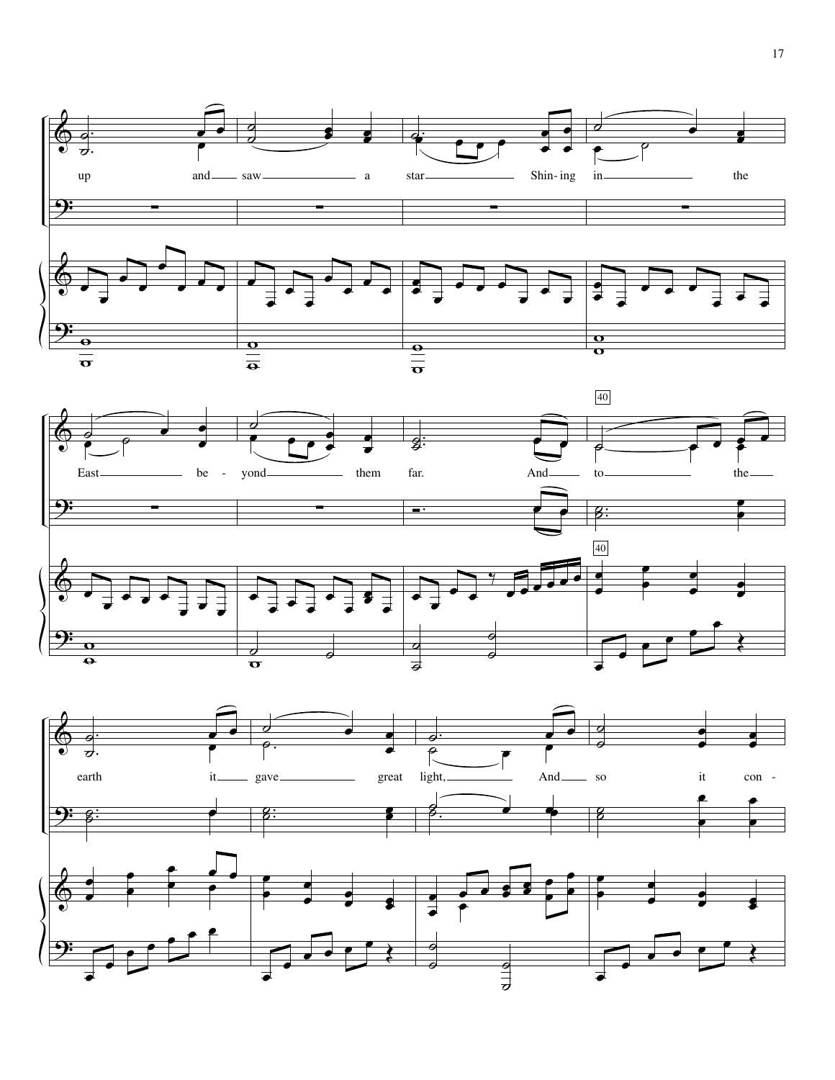



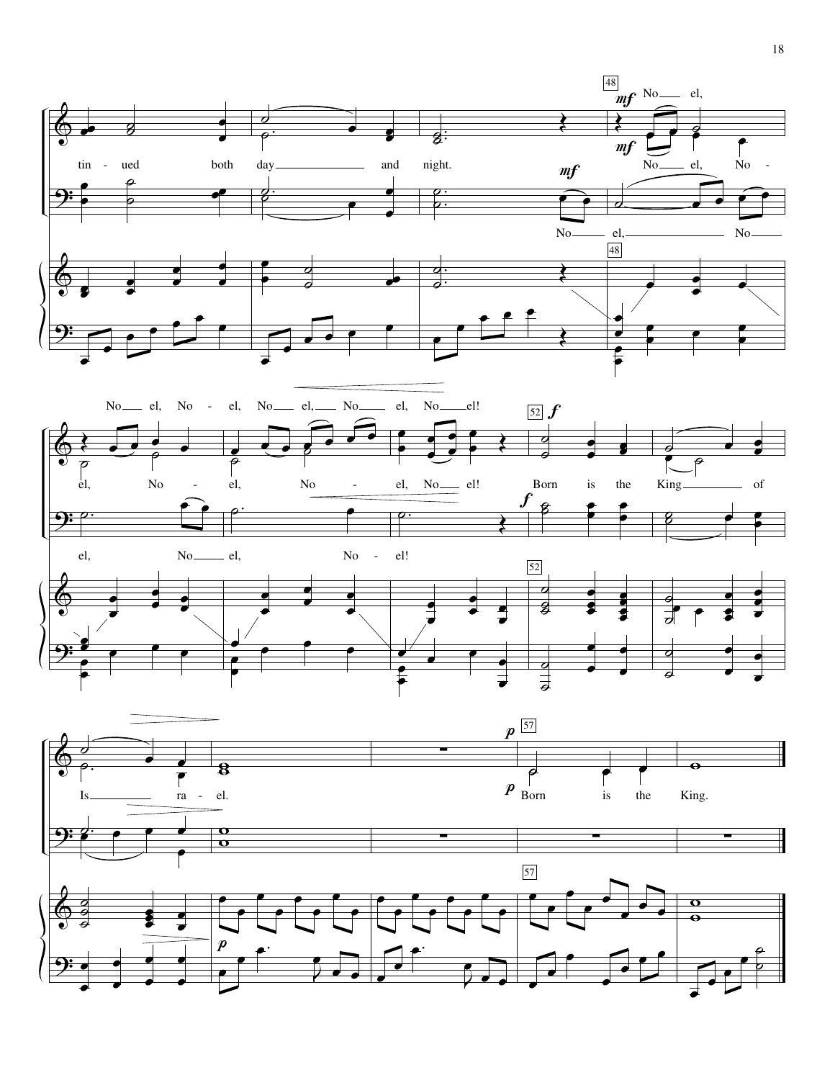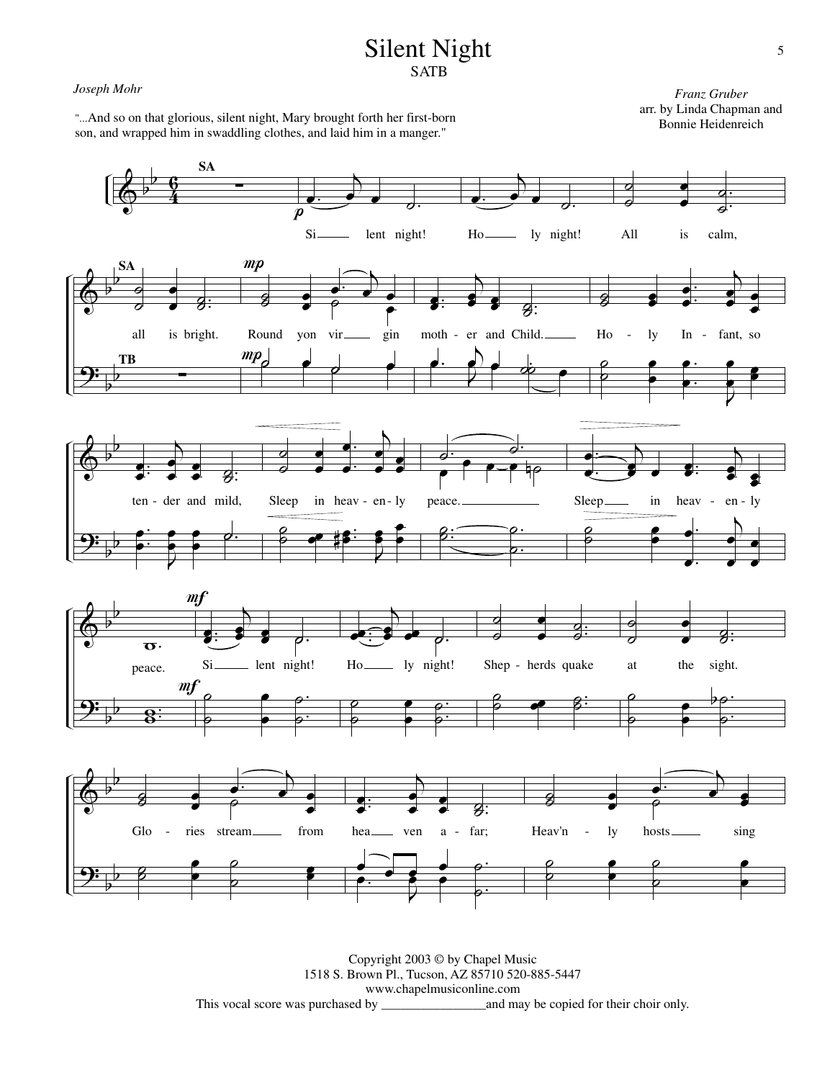## Silent Night **SATB**

#### *Joseph Mohr*

"...And so on that glorious, silent night, Mary brought forth her first-born



Copyright 2003 © by Chapel Music 1518 S. Brown Pl., Tucson, AZ 85710 520-885-5447 www.chapelmusiconline.com This vocal score was purchased by \_\_\_\_\_\_\_\_\_\_\_\_\_\_\_\_and may be copied for their choir only.

*Franz Gruber* arr. by Linda Chapman and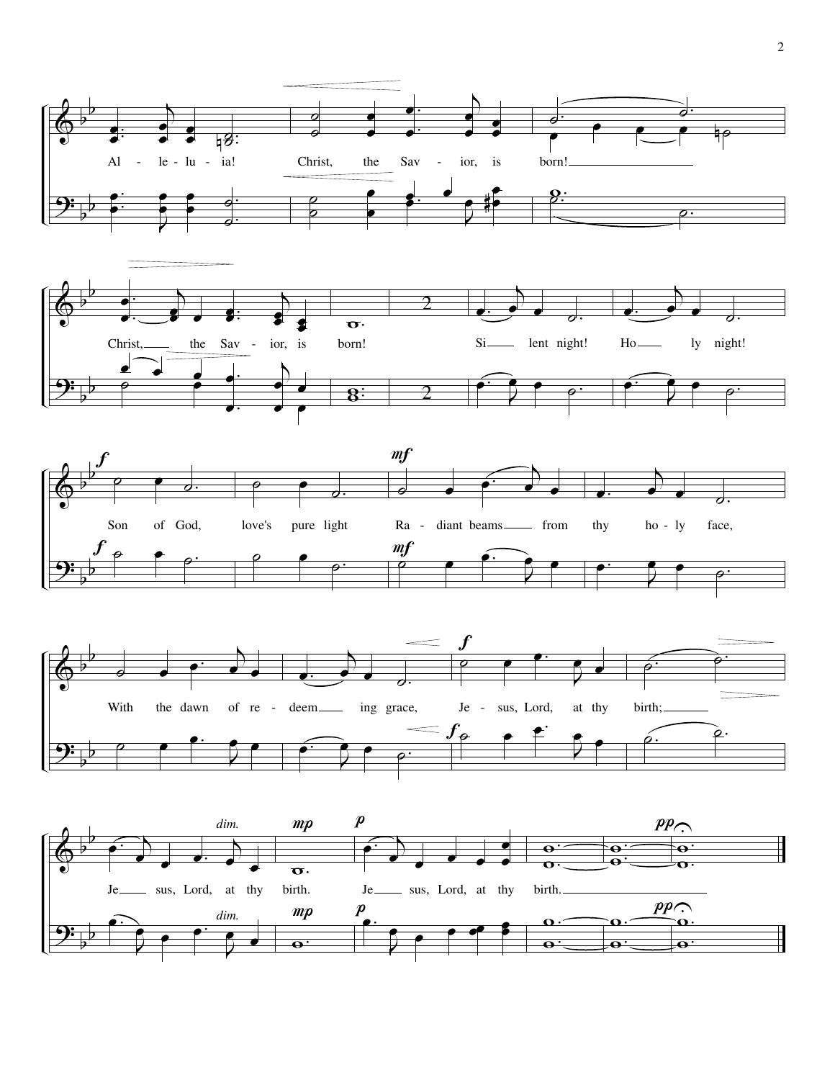







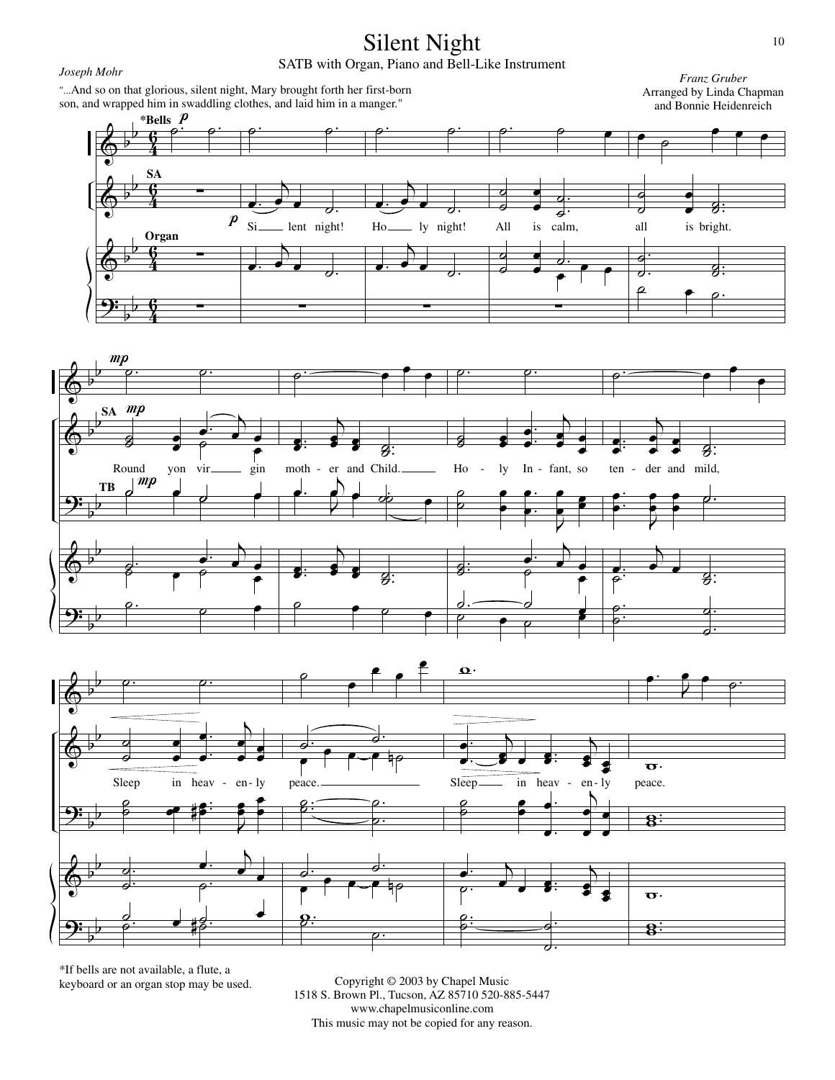

\*If bells are not available, a flute, a keyboard or an organ stop may be used.

Copyright © 2003 by Chapel Music 1518 S. Brown Pl., Tucson, AZ 85710 520-885-5447 www.chapelmusiconline.com This music may not be copied for any reason.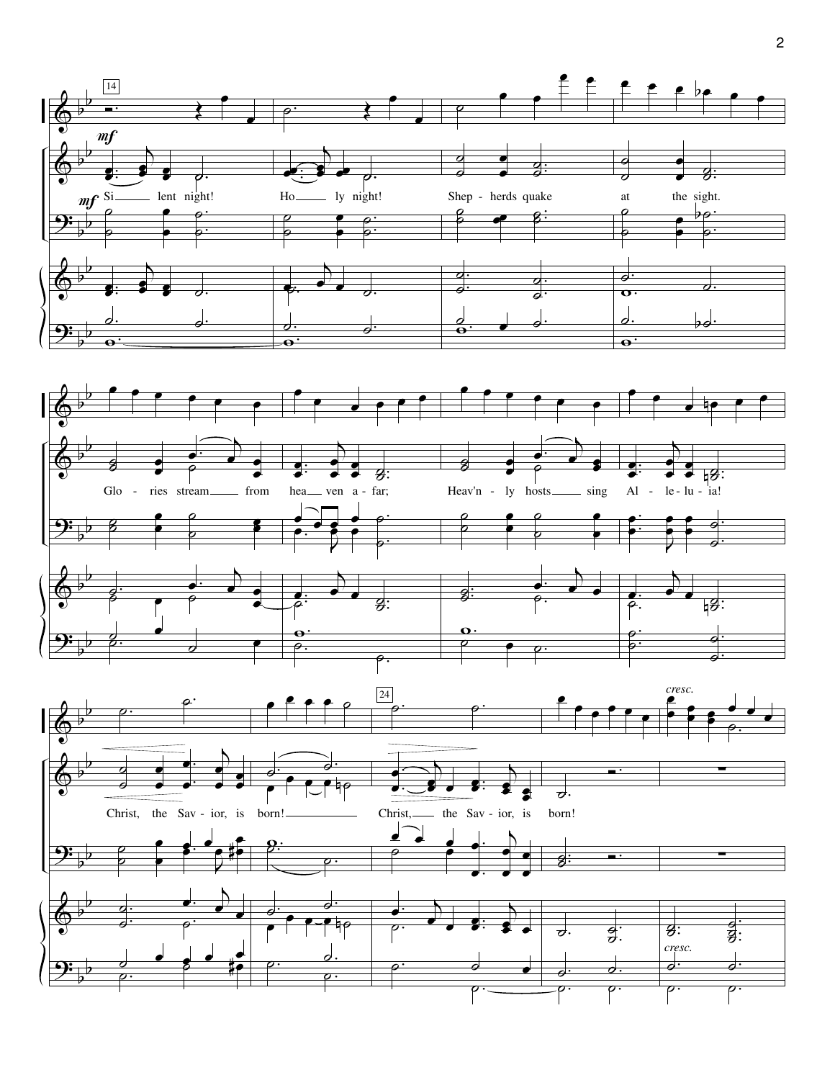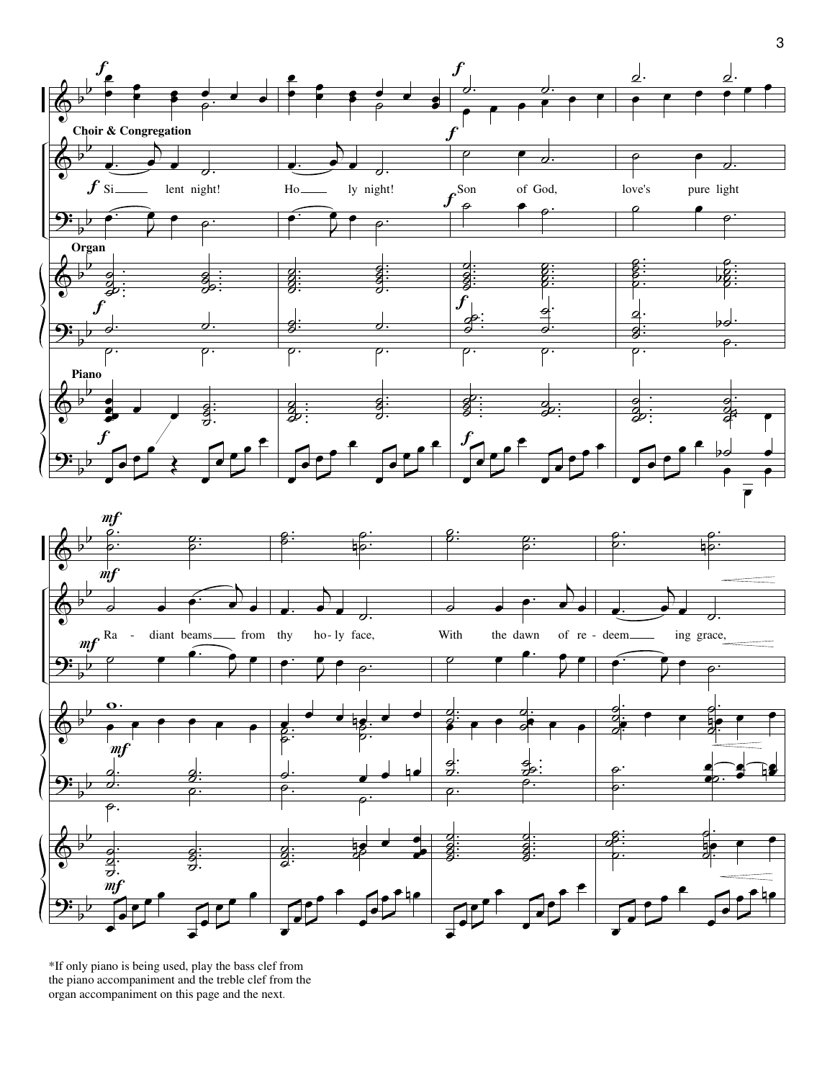



\*If only piano is being used, play the bass clef from the piano accompaniment and the treble clef from the organ accompaniment on this page and the next.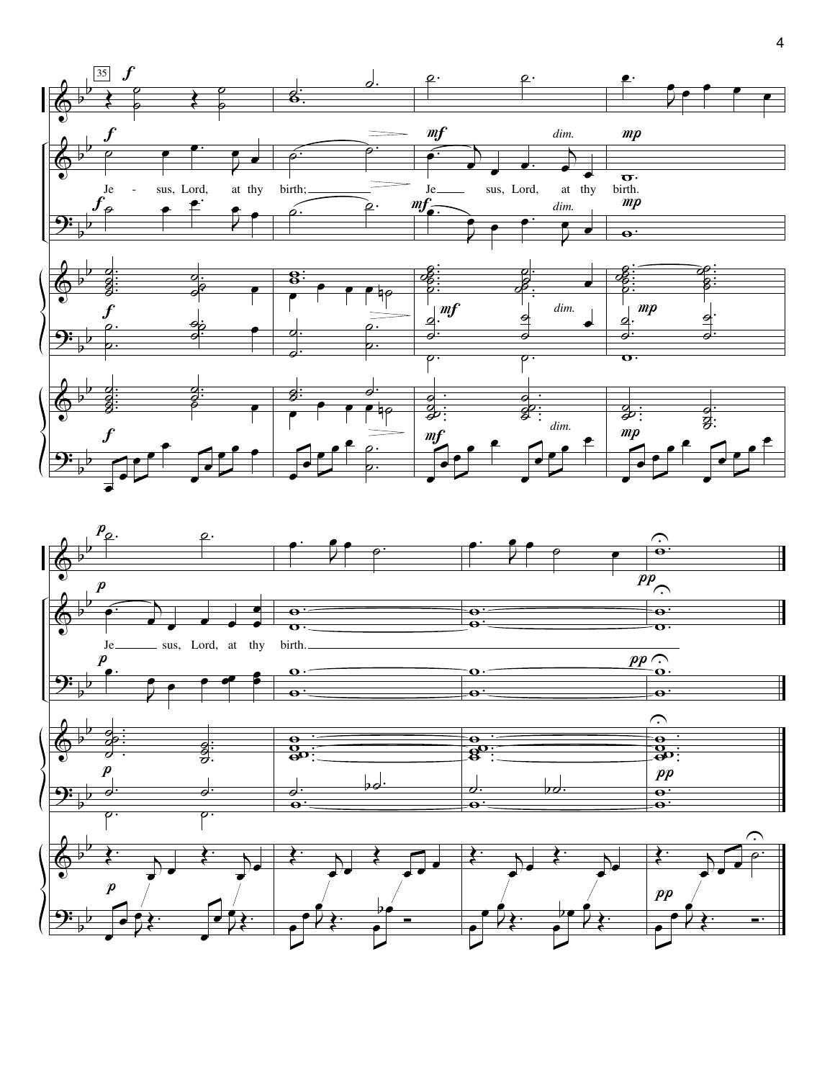

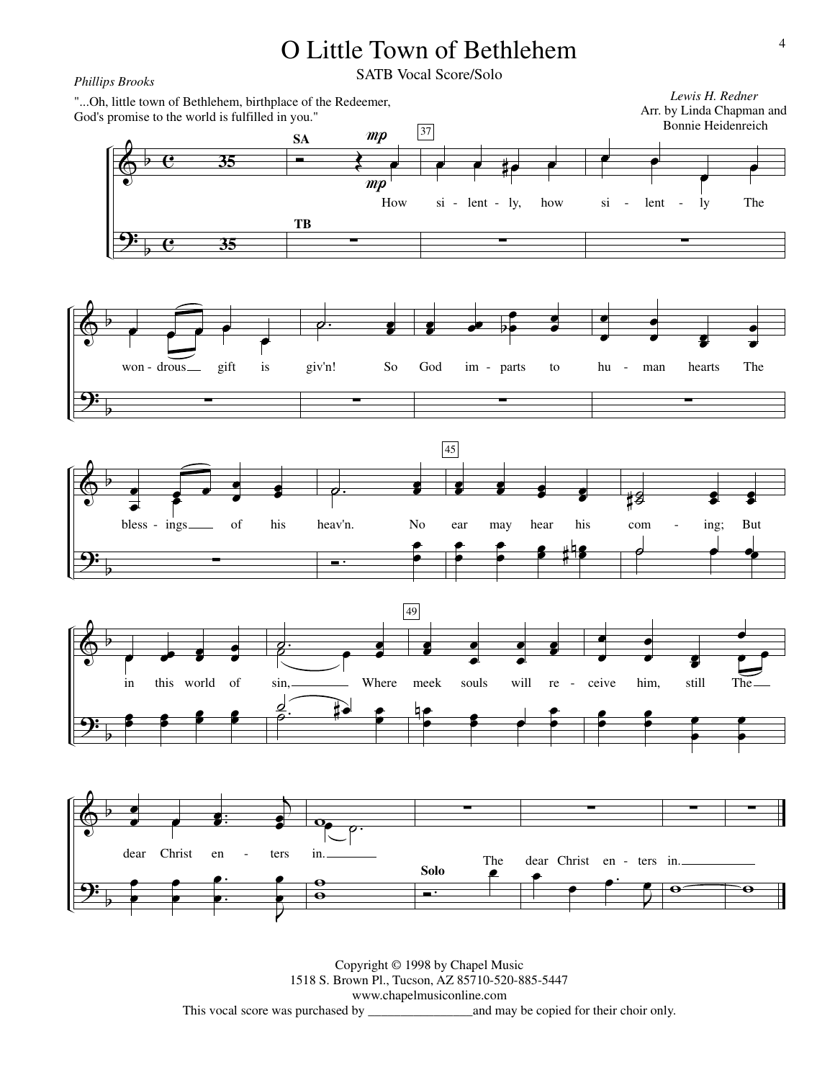

Copyright © 1998 by Chapel Music 1518 S. Brown Pl., Tucson, AZ 85710-520-885-5447 www.chapelmusiconline.com \_and may be copied for their choir only.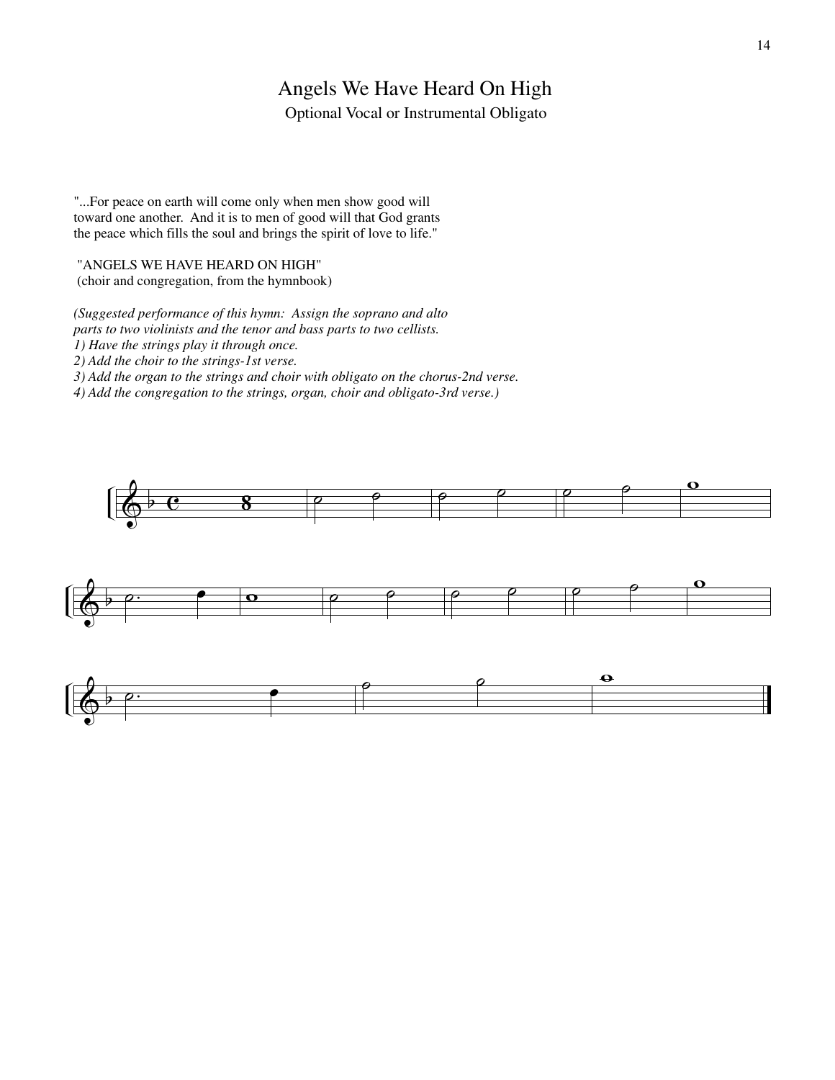## Angels We Have Heard On High

Optional Vocal or Instrumental Obligato

"...For peace on earth will come only when men show good will toward one another. And it is to men of good will that God grants the peace which fills the soul and brings the spirit of love to life."

#### "ANGELS WE HAVE HEARD ON HIGH"

(choir and congregation, from the hymnbook)

*(Suggested performance of this hymn: Assign the soprano and alto parts to two violinists and the tenor and bass parts to two cellists.* 

*1) Have the strings play it through once. 2) Add the choir to the strings-1st verse.* 

*3) Add the organ to the strings and choir with obligato on the chorus-2nd verse.* 

*4) Add the congregation to the strings, organ, choir and obligato-3rd verse.)*





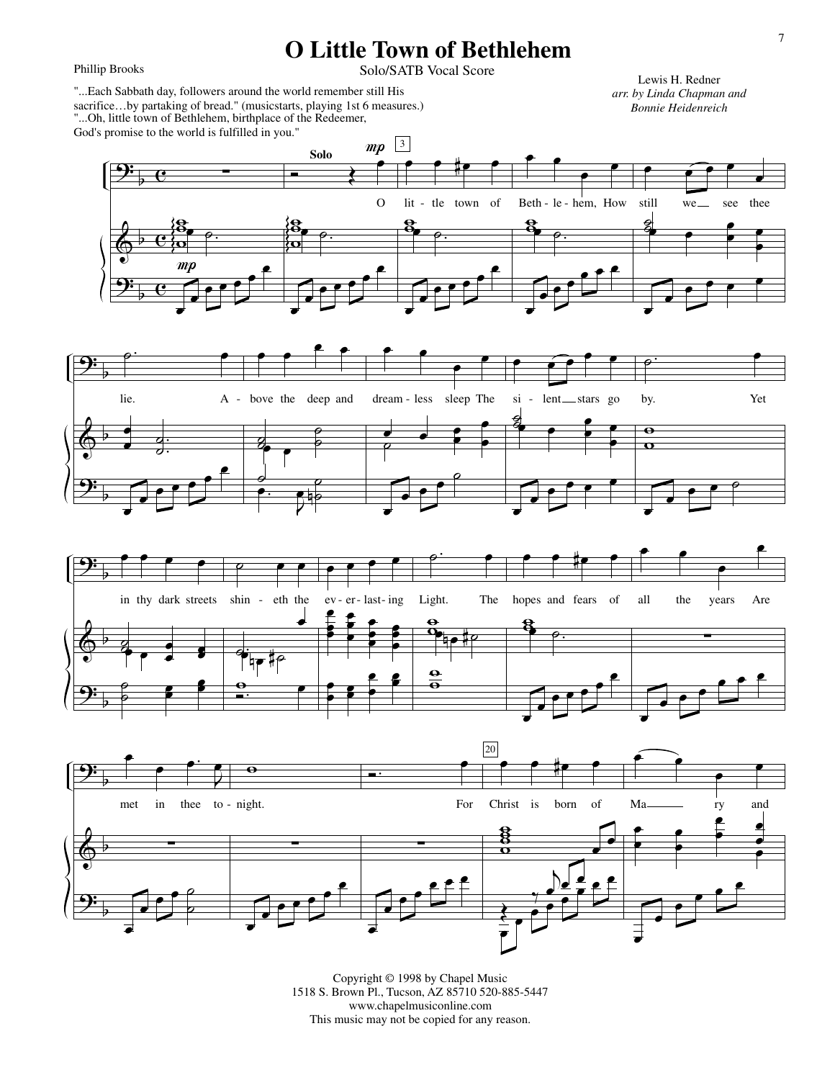## **O Little Town of Bethlehem**

Phillip Brooks

### Solo/SATB Vocal Score

"...Oh, little town of Bethlehem, birthplace of the Redeemer, God's promise to the world is fulfilled in you." "...Each Sabbath day, followers around the world remember still His sacrifice…by partaking of bread." (musicstarts, playing 1st 6 measures.)

Lewis H. Redner *arr. by Linda Chapman and Bonnie Heidenreich*









Copyright © 1998 by Chapel Music 1518 S. Brown Pl., Tucson, AZ 85710 520-885-5447 www.chapelmusiconline.com This music may not be copied for any reason.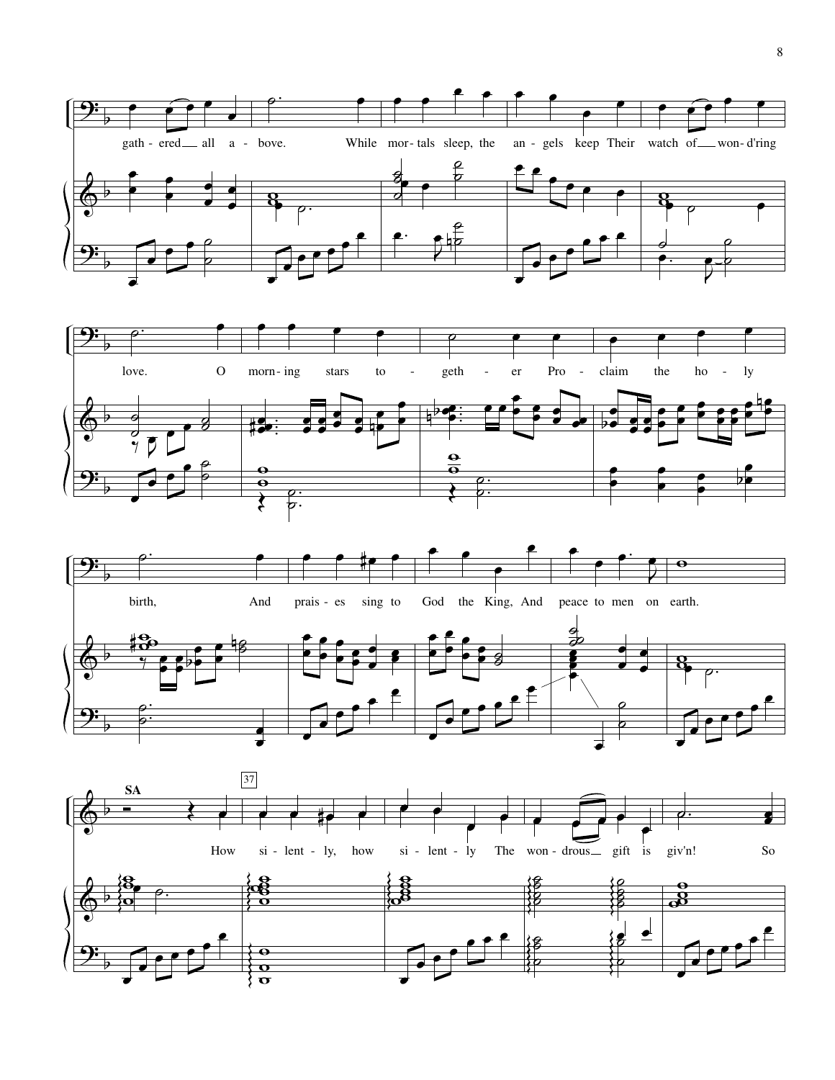